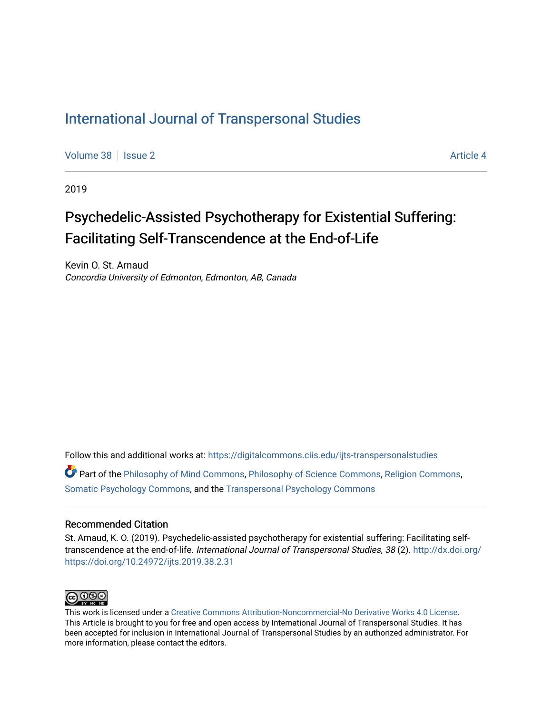# [International Journal of Transpersonal Studies](https://digitalcommons.ciis.edu/ijts-transpersonalstudies)

[Volume 38](https://digitalcommons.ciis.edu/ijts-transpersonalstudies/vol38) | [Issue 2](https://digitalcommons.ciis.edu/ijts-transpersonalstudies/vol38/iss2) Article 4

2019

# Psychedelic-Assisted Psychotherapy for Existential Suffering: Facilitating Self-Transcendence at the End-of-Life

Kevin O. St. Arnaud Concordia University of Edmonton, Edmonton, AB, Canada

Follow this and additional works at: [https://digitalcommons.ciis.edu/ijts-transpersonalstudies](https://digitalcommons.ciis.edu/ijts-transpersonalstudies?utm_source=digitalcommons.ciis.edu%2Fijts-transpersonalstudies%2Fvol38%2Fiss2%2F4&utm_medium=PDF&utm_campaign=PDFCoverPages) 

Part of the [Philosophy of Mind Commons](http://network.bepress.com/hgg/discipline/535?utm_source=digitalcommons.ciis.edu%2Fijts-transpersonalstudies%2Fvol38%2Fiss2%2F4&utm_medium=PDF&utm_campaign=PDFCoverPages), [Philosophy of Science Commons,](http://network.bepress.com/hgg/discipline/536?utm_source=digitalcommons.ciis.edu%2Fijts-transpersonalstudies%2Fvol38%2Fiss2%2F4&utm_medium=PDF&utm_campaign=PDFCoverPages) [Religion Commons](http://network.bepress.com/hgg/discipline/538?utm_source=digitalcommons.ciis.edu%2Fijts-transpersonalstudies%2Fvol38%2Fiss2%2F4&utm_medium=PDF&utm_campaign=PDFCoverPages), [Somatic Psychology Commons,](http://network.bepress.com/hgg/discipline/1431?utm_source=digitalcommons.ciis.edu%2Fijts-transpersonalstudies%2Fvol38%2Fiss2%2F4&utm_medium=PDF&utm_campaign=PDFCoverPages) and the [Transpersonal Psychology Commons](http://network.bepress.com/hgg/discipline/1388?utm_source=digitalcommons.ciis.edu%2Fijts-transpersonalstudies%2Fvol38%2Fiss2%2F4&utm_medium=PDF&utm_campaign=PDFCoverPages) 

### Recommended Citation

St. Arnaud, K. O. (2019). Psychedelic-assisted psychotherapy for existential suffering: Facilitating selftranscendence at the end-of-life. International Journal of Transpersonal Studies, 38 (2). [http://dx.doi.org/](http://dx.doi.org/https://doi.org/10.24972/ijts.2019.38.2.31) [https://doi.org/10.24972/ijts.2019.38.2.31](http://dx.doi.org/https://doi.org/10.24972/ijts.2019.38.2.31) 



This work is licensed under a [Creative Commons Attribution-Noncommercial-No Derivative Works 4.0 License.](https://creativecommons.org/licenses/by-nc-nd/4.0/) This Article is brought to you for free and open access by International Journal of Transpersonal Studies. It has been accepted for inclusion in International Journal of Transpersonal Studies by an authorized administrator. For more information, please contact the editors.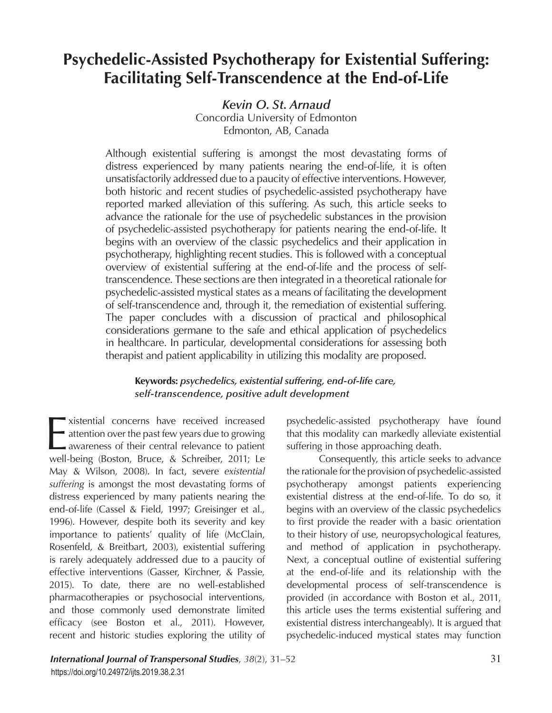# **Psychedelic-Assisted Psychotherapy for Existential Suffering: Facilitating Self-Transcendence at the End-of-Life**

*Kevin O. St. Arnaud*

Concordia University of Edmonton Edmonton, AB, Canada

Although existential suffering is amongst the most devastating forms of distress experienced by many patients nearing the end-of-life, it is often unsatisfactorily addressed due to a paucity of effective interventions. However, both historic and recent studies of psychedelic-assisted psychotherapy have reported marked alleviation of this suffering. As such, this article seeks to advance the rationale for the use of psychedelic substances in the provision of psychedelic-assisted psychotherapy for patients nearing the end-of-life. It begins with an overview of the classic psychedelics and their application in psychotherapy, highlighting recent studies. This is followed with a conceptual overview of existential suffering at the end-of-life and the process of selftranscendence. These sections are then integrated in a theoretical rationale for psychedelic-assisted mystical states as a means of facilitating the development of self-transcendence and, through it, the remediation of existential suffering. The paper concludes with a discussion of practical and philosophical considerations germane to the safe and ethical application of psychedelics in healthcare. In particular, developmental considerations for assessing both therapist and patient applicability in utilizing this modality are proposed.

# **Keywords:** *psychedelics, existential suffering, end-of-life care, self-transcendence, positive adult development*

xistential concerns have received increased<br>attention over the past few years due to growing<br>awareness of their central relevance to patient<br>well-being (Boston, Bruce, & Schreiber, 2011; Le xistential concerns have received increased - attention over the past few years due to growing awareness of their central relevance to patient May & Wilson, 2008). In fact, severe *existential suffering* is amongst the most devastating forms of distress experienced by many patients nearing the end-of-life (Cassel & Field, 1997; Greisinger et al., 1996). However, despite both its severity and key importance to patients' quality of life (McClain, Rosenfeld, & Breitbart, 2003), existential suffering is rarely adequately addressed due to a paucity of effective interventions (Gasser, Kirchner, & Passie, 2015). To date, there are no well-established pharmacotherapies or psychosocial interventions, and those commonly used demonstrate limited efficacy (see Boston et al., 2011). However, recent and historic studies exploring the utility of

psychedelic-assisted psychotherapy have found that this modality can markedly alleviate existential suffering in those approaching death.

Consequently, this article seeks to advance the rationale for the provision of psychedelic-assisted psychotherapy amongst patients experiencing existential distress at the end-of-life. To do so, it begins with an overview of the classic psychedelics to first provide the reader with a basic orientation to their history of use, neuropsychological features, and method of application in psychotherapy. Next, a conceptual outline of existential suffering at the end-of-life and its relationship with the developmental process of self-transcendence is provided (in accordance with Boston et al., 2011, this article uses the terms existential suffering and existential distress interchangeably). It is argued that psychedelic-induced mystical states may function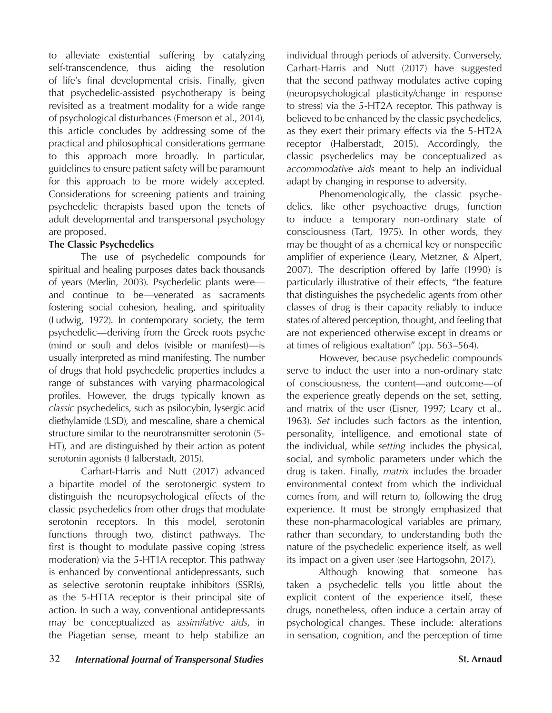to alleviate existential suffering by catalyzing self-transcendence, thus aiding the resolution of life's final developmental crisis. Finally, given that psychedelic-assisted psychotherapy is being revisited as a treatment modality for a wide range of psychological disturbances (Emerson et al., 2014), this article concludes by addressing some of the practical and philosophical considerations germane to this approach more broadly. In particular, guidelines to ensure patient safety will be paramount for this approach to be more widely accepted. Considerations for screening patients and training psychedelic therapists based upon the tenets of adult developmental and transpersonal psychology are proposed.

# **The Classic Psychedelics**

The use of psychedelic compounds for spiritual and healing purposes dates back thousands of years (Merlin, 2003). Psychedelic plants were and continue to be—venerated as sacraments fostering social cohesion, healing, and spirituality (Ludwig, 1972). In contemporary society, the term psychedelic—deriving from the Greek roots psyche (mind or soul) and delos (visible or manifest)—is usually interpreted as mind manifesting. The number of drugs that hold psychedelic properties includes a range of substances with varying pharmacological profiles. However, the drugs typically known as *classic* psychedelics, such as psilocybin, lysergic acid diethylamide (LSD), and mescaline, share a chemical structure similar to the neurotransmitter serotonin (5- HT), and are distinguished by their action as potent serotonin agonists (Halberstadt, 2015).

Carhart-Harris and Nutt (2017) advanced a bipartite model of the serotonergic system to distinguish the neuropsychological effects of the classic psychedelics from other drugs that modulate serotonin receptors. In this model, serotonin functions through two, distinct pathways. The first is thought to modulate passive coping (stress moderation) via the 5-HT1A receptor. This pathway is enhanced by conventional antidepressants, such as selective serotonin reuptake inhibitors (SSRIs), as the 5-HT1A receptor is their principal site of action. In such a way, conventional antidepressants may be conceptualized as *assimilative aids*, in the Piagetian sense, meant to help stabilize an

individual through periods of adversity. Conversely, Carhart-Harris and Nutt (2017) have suggested that the second pathway modulates active coping (neuropsychological plasticity/change in response to stress) via the 5-HT2A receptor. This pathway is believed to be enhanced by the classic psychedelics, as they exert their primary effects via the 5-HT2A receptor (Halberstadt, 2015). Accordingly, the classic psychedelics may be conceptualized as *accommodative aids* meant to help an individual adapt by changing in response to adversity.

Phenomenologically, the classic psychedelics, like other psychoactive drugs, function to induce a temporary non-ordinary state of consciousness (Tart, 1975). In other words, they may be thought of as a chemical key or nonspecific amplifier of experience (Leary, Metzner, & Alpert, 2007). The description offered by Jaffe (1990) is particularly illustrative of their effects, "the feature that distinguishes the psychedelic agents from other classes of drug is their capacity reliably to induce states of altered perception, thought, and feeling that are not experienced otherwise except in dreams or at times of religious exaltation" (pp. 563–564).

However, because psychedelic compounds serve to induct the user into a non-ordinary state of consciousness, the content—and outcome—of the experience greatly depends on the set, setting, and matrix of the user (Eisner, 1997; Leary et al., 1963). *Set* includes such factors as the intention, personality, intelligence, and emotional state of the individual, while *setting* includes the physical, social, and symbolic parameters under which the drug is taken. Finally, *matrix* includes the broader environmental context from which the individual comes from, and will return to, following the drug experience. It must be strongly emphasized that these non-pharmacological variables are primary, rather than secondary, to understanding both the nature of the psychedelic experience itself, as well its impact on a given user (see Hartogsohn, 2017).

Although knowing that someone has taken a psychedelic tells you little about the explicit content of the experience itself, these drugs, nonetheless, often induce a certain array of psychological changes. These include: alterations in sensation, cognition, and the perception of time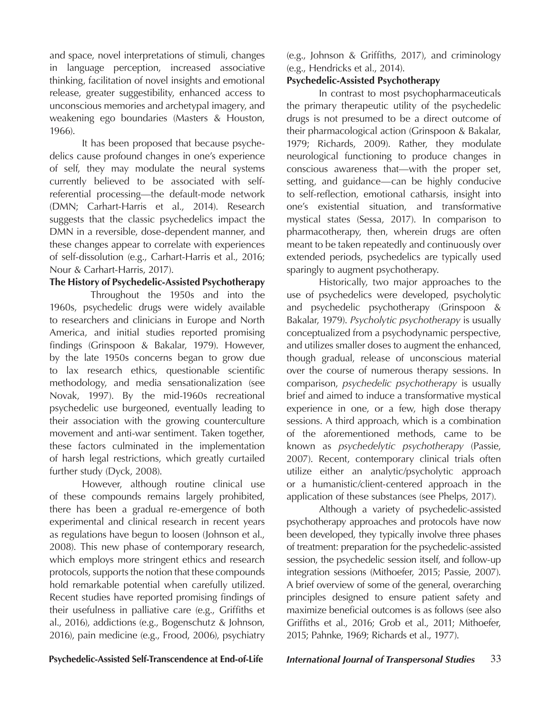and space, novel interpretations of stimuli, changes in language perception, increased associative thinking, facilitation of novel insights and emotional release, greater suggestibility, enhanced access to unconscious memories and archetypal imagery, and weakening ego boundaries (Masters & Houston, 1966).

It has been proposed that because psychedelics cause profound changes in one's experience of self, they may modulate the neural systems currently believed to be associated with selfreferential processing—the default-mode network (DMN; Carhart-Harris et al., 2014). Research suggests that the classic psychedelics impact the DMN in a reversible, dose-dependent manner, and these changes appear to correlate with experiences of self-dissolution (e.g., Carhart-Harris et al., 2016; Nour & Carhart-Harris, 2017).

# **The History of Psychedelic-Assisted Psychotherapy**

 Throughout the 1950s and into the 1960s, psychedelic drugs were widely available to researchers and clinicians in Europe and North America, and initial studies reported promising findings (Grinspoon & Bakalar, 1979). However, by the late 1950s concerns began to grow due to lax research ethics, questionable scientific methodology, and media sensationalization (see Novak, 1997). By the mid-1960s recreational psychedelic use burgeoned, eventually leading to their association with the growing counterculture movement and anti-war sentiment. Taken together, these factors culminated in the implementation of harsh legal restrictions, which greatly curtailed further study (Dyck, 2008).

However, although routine clinical use of these compounds remains largely prohibited, there has been a gradual re-emergence of both experimental and clinical research in recent years as regulations have begun to loosen (Johnson et al., 2008). This new phase of contemporary research, which employs more stringent ethics and research protocols, supports the notion that these compounds hold remarkable potential when carefully utilized. Recent studies have reported promising findings of their usefulness in palliative care (e.g., Griffiths et al., 2016), addictions (e.g., Bogenschutz & Johnson, 2016), pain medicine (e.g., Frood, 2006), psychiatry

(e.g., Johnson & Griffiths, 2017), and criminology (e.g., Hendricks et al., 2014).

# **Psychedelic-Assisted Psychotherapy**

In contrast to most psychopharmaceuticals the primary therapeutic utility of the psychedelic drugs is not presumed to be a direct outcome of their pharmacological action (Grinspoon & Bakalar, 1979; Richards, 2009). Rather, they modulate neurological functioning to produce changes in conscious awareness that—with the proper set, setting, and guidance—can be highly conducive to self-reflection, emotional catharsis, insight into one's existential situation, and transformative mystical states (Sessa, 2017). In comparison to pharmacotherapy, then, wherein drugs are often meant to be taken repeatedly and continuously over extended periods, psychedelics are typically used sparingly to augment psychotherapy.

Historically, two major approaches to the use of psychedelics were developed, psycholytic and psychedelic psychotherapy (Grinspoon & Bakalar, 1979). *Psycholytic psychotherapy* is usually conceptualized from a psychodynamic perspective, and utilizes smaller doses to augment the enhanced, though gradual, release of unconscious material over the course of numerous therapy sessions. In comparison, *psychedelic psychotherapy* is usually brief and aimed to induce a transformative mystical experience in one, or a few, high dose therapy sessions. A third approach, which is a combination of the aforementioned methods, came to be known as *psychedelytic psychotherapy* (Passie, 2007). Recent, contemporary clinical trials often utilize either an analytic/psycholytic approach or a humanistic/client-centered approach in the application of these substances (see Phelps, 2017).

Although a variety of psychedelic-assisted psychotherapy approaches and protocols have now been developed, they typically involve three phases of treatment: preparation for the psychedelic-assisted session, the psychedelic session itself, and follow-up integration sessions (Mithoefer, 2015; Passie, 2007). A brief overview of some of the general, overarching principles designed to ensure patient safety and maximize beneficial outcomes is as follows (see also Griffiths et al., 2016; Grob et al., 2011; Mithoefer, 2015; Pahnke, 1969; Richards et al., 1977).

# **Psychedelic-Assisted Self-Transcendence at End-of-Life** *International Journal of Transpersonal Studies* 33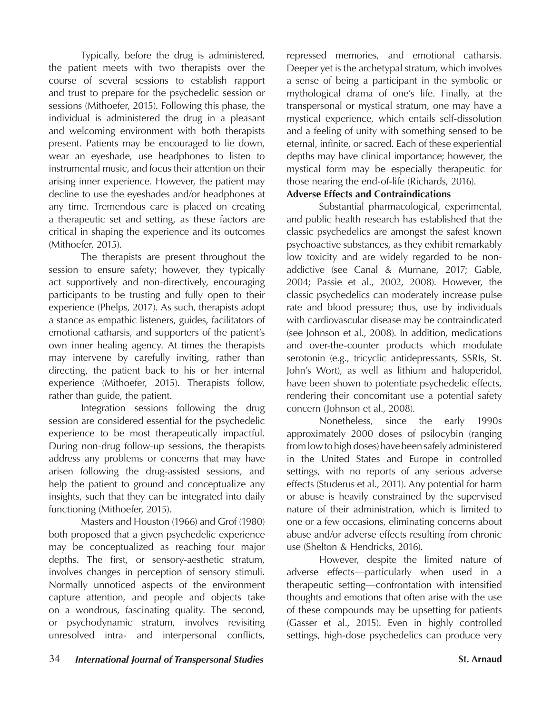Typically, before the drug is administered, the patient meets with two therapists over the course of several sessions to establish rapport and trust to prepare for the psychedelic session or sessions (Mithoefer, 2015). Following this phase, the individual is administered the drug in a pleasant and welcoming environment with both therapists present. Patients may be encouraged to lie down, wear an eyeshade, use headphones to listen to instrumental music, and focus their attention on their arising inner experience. However, the patient may decline to use the eyeshades and/or headphones at any time. Tremendous care is placed on creating a therapeutic set and setting, as these factors are critical in shaping the experience and its outcomes (Mithoefer, 2015).

The therapists are present throughout the session to ensure safety; however, they typically act supportively and non-directively, encouraging participants to be trusting and fully open to their experience (Phelps, 2017). As such, therapists adopt a stance as empathic listeners, guides, facilitators of emotional catharsis, and supporters of the patient's own inner healing agency. At times the therapists may intervene by carefully inviting, rather than directing, the patient back to his or her internal experience (Mithoefer, 2015). Therapists follow, rather than guide, the patient.

Integration sessions following the drug session are considered essential for the psychedelic experience to be most therapeutically impactful. During non-drug follow-up sessions, the therapists address any problems or concerns that may have arisen following the drug-assisted sessions, and help the patient to ground and conceptualize any insights, such that they can be integrated into daily functioning (Mithoefer, 2015).

Masters and Houston (1966) and Grof (1980) both proposed that a given psychedelic experience may be conceptualized as reaching four major depths. The first, or sensory-aesthetic stratum, involves changes in perception of sensory stimuli. Normally unnoticed aspects of the environment capture attention, and people and objects take on a wondrous, fascinating quality. The second, or psychodynamic stratum, involves revisiting unresolved intra- and interpersonal conflicts,

repressed memories, and emotional catharsis. Deeper yet is the archetypal stratum, which involves a sense of being a participant in the symbolic or mythological drama of one's life. Finally, at the transpersonal or mystical stratum, one may have a mystical experience, which entails self-dissolution and a feeling of unity with something sensed to be eternal, infinite, or sacred. Each of these experiential depths may have clinical importance; however, the mystical form may be especially therapeutic for those nearing the end-of-life (Richards, 2016).

# **Adverse Effects and Contraindications**

Substantial pharmacological, experimental, and public health research has established that the classic psychedelics are amongst the safest known psychoactive substances, as they exhibit remarkably low toxicity and are widely regarded to be nonaddictive (see Canal & Murnane, 2017; Gable, 2004; Passie et al., 2002, 2008). However, the classic psychedelics can moderately increase pulse rate and blood pressure; thus, use by individuals with cardiovascular disease may be contraindicated (see Johnson et al., 2008). In addition, medications and over-the-counter products which modulate serotonin (e.g., tricyclic antidepressants, SSRIs, St. John's Wort), as well as lithium and haloperidol, have been shown to potentiate psychedelic effects, rendering their concomitant use a potential safety concern (Johnson et al., 2008).

Nonetheless, since the early 1990s approximately 2000 doses of psilocybin (ranging from low to high doses) have been safely administered in the United States and Europe in controlled settings, with no reports of any serious adverse effects (Studerus et al., 2011). Any potential for harm or abuse is heavily constrained by the supervised nature of their administration, which is limited to one or a few occasions, eliminating concerns about abuse and/or adverse effects resulting from chronic use (Shelton & Hendricks, 2016).

However, despite the limited nature of adverse effects—particularly when used in a therapeutic setting—confrontation with intensified thoughts and emotions that often arise with the use of these compounds may be upsetting for patients (Gasser et al., 2015). Even in highly controlled settings, high-dose psychedelics can produce very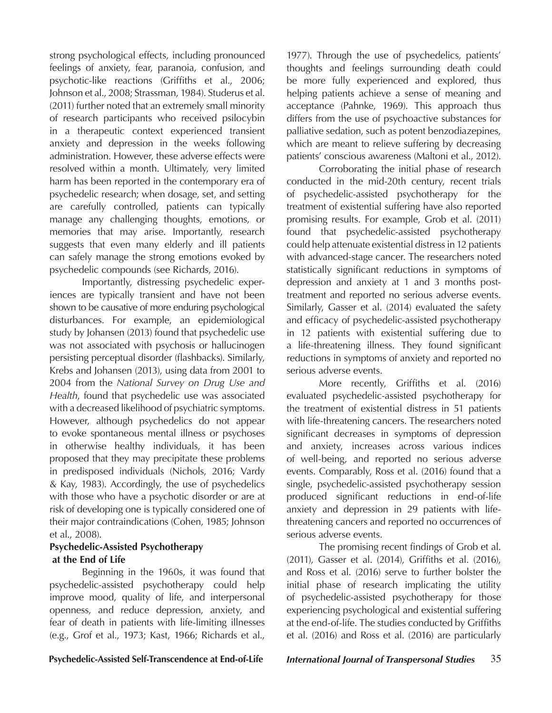strong psychological effects, including pronounced feelings of anxiety, fear, paranoia, confusion, and psychotic-like reactions (Griffiths et al., 2006; Johnson et al., 2008; Strassman, 1984). Studerus et al. (2011) further noted that an extremely small minority of research participants who received psilocybin in a therapeutic context experienced transient anxiety and depression in the weeks following administration. However, these adverse effects were resolved within a month. Ultimately, very limited harm has been reported in the contemporary era of psychedelic research; when dosage, set, and setting are carefully controlled, patients can typically manage any challenging thoughts, emotions, or memories that may arise. Importantly, research suggests that even many elderly and ill patients can safely manage the strong emotions evoked by psychedelic compounds (see Richards, 2016).

Importantly, distressing psychedelic experiences are typically transient and have not been shown to be causative of more enduring psychological disturbances. For example, an epidemiological study by Johansen (2013) found that psychedelic use was not associated with psychosis or hallucinogen persisting perceptual disorder (flashbacks). Similarly, Krebs and Johansen (2013), using data from 2001 to 2004 from the *National Survey on Drug Use and Health*, found that psychedelic use was associated with a decreased likelihood of psychiatric symptoms. However, although psychedelics do not appear to evoke spontaneous mental illness or psychoses in otherwise healthy individuals, it has been proposed that they may precipitate these problems in predisposed individuals (Nichols, 2016; Vardy & Kay, 1983). Accordingly, the use of psychedelics with those who have a psychotic disorder or are at risk of developing one is typically considered one of their major contraindications (Cohen, 1985; Johnson et al., 2008).

# **Psychedelic-Assisted Psychotherapy at the End of Life**

Beginning in the 1960s, it was found that psychedelic-assisted psychotherapy could help improve mood, quality of life, and interpersonal openness, and reduce depression, anxiety, and fear of death in patients with life-limiting illnesses (e.g., Grof et al., 1973; Kast, 1966; Richards et al.,

1977). Through the use of psychedelics, patients' thoughts and feelings surrounding death could be more fully experienced and explored, thus helping patients achieve a sense of meaning and acceptance (Pahnke, 1969). This approach thus differs from the use of psychoactive substances for palliative sedation, such as potent benzodiazepines, which are meant to relieve suffering by decreasing patients' conscious awareness (Maltoni et al., 2012).

Corroborating the initial phase of research conducted in the mid-20th century, recent trials of psychedelic-assisted psychotherapy for the treatment of existential suffering have also reported promising results. For example, Grob et al. (2011) found that psychedelic-assisted psychotherapy could help attenuate existential distress in 12 patients with advanced-stage cancer. The researchers noted statistically significant reductions in symptoms of depression and anxiety at 1 and 3 months posttreatment and reported no serious adverse events. Similarly, Gasser et al. (2014) evaluated the safety and efficacy of psychedelic-assisted psychotherapy in 12 patients with existential suffering due to a life-threatening illness. They found significant reductions in symptoms of anxiety and reported no serious adverse events.

More recently, Griffiths et al. (2016) evaluated psychedelic-assisted psychotherapy for the treatment of existential distress in 51 patients with life-threatening cancers. The researchers noted significant decreases in symptoms of depression and anxiety, increases across various indices of well-being, and reported no serious adverse events. Comparably, Ross et al. (2016) found that a single, psychedelic-assisted psychotherapy session produced significant reductions in end-of-life anxiety and depression in 29 patients with lifethreatening cancers and reported no occurrences of serious adverse events.

The promising recent findings of Grob et al. (2011), Gasser et al. (2014), Griffiths et al. (2016), and Ross et al. (2016) serve to further bolster the initial phase of research implicating the utility of psychedelic-assisted psychotherapy for those experiencing psychological and existential suffering at the end-of-life. The studies conducted by Griffiths et al. (2016) and Ross et al. (2016) are particularly

**Psychedelic-Assisted Self-Transcendence at End-of-Life** *International Journal of Transpersonal Studies* 35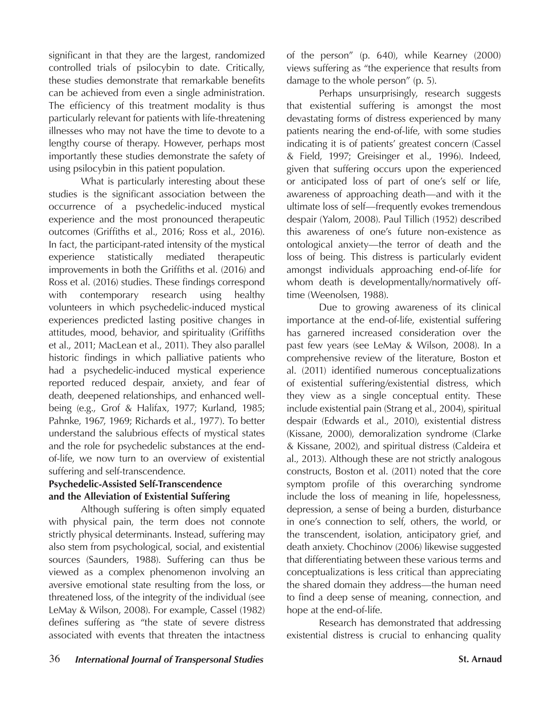significant in that they are the largest, randomized controlled trials of psilocybin to date. Critically, these studies demonstrate that remarkable benefits can be achieved from even a single administration. The efficiency of this treatment modality is thus particularly relevant for patients with life-threatening illnesses who may not have the time to devote to a lengthy course of therapy. However, perhaps most importantly these studies demonstrate the safety of using psilocybin in this patient population.

What is particularly interesting about these studies is the significant association between the occurrence of a psychedelic-induced mystical experience and the most pronounced therapeutic outcomes (Griffiths et al., 2016; Ross et al., 2016). In fact, the participant-rated intensity of the mystical experience statistically mediated therapeutic improvements in both the Griffiths et al. (2016) and Ross et al. (2016) studies. These findings correspond with contemporary research using healthy volunteers in which psychedelic-induced mystical experiences predicted lasting positive changes in attitudes, mood, behavior, and spirituality (Griffiths et al., 2011; MacLean et al., 2011). They also parallel historic findings in which palliative patients who had a psychedelic-induced mystical experience reported reduced despair, anxiety, and fear of death, deepened relationships, and enhanced wellbeing (e.g., Grof & Halifax, 1977; Kurland, 1985; Pahnke, 1967, 1969; Richards et al., 1977). To better understand the salubrious effects of mystical states and the role for psychedelic substances at the endof-life, we now turn to an overview of existential suffering and self-transcendence.

# **Psychedelic-Assisted Self-Transcendence and the Alleviation of Existential Suffering**

Although suffering is often simply equated with physical pain, the term does not connote strictly physical determinants. Instead, suffering may also stem from psychological, social, and existential sources (Saunders, 1988). Suffering can thus be viewed as a complex phenomenon involving an aversive emotional state resulting from the loss, or threatened loss, of the integrity of the individual (see LeMay & Wilson, 2008). For example, Cassel (1982) defines suffering as "the state of severe distress associated with events that threaten the intactness

of the person" (p. 640), while Kearney (2000) views suffering as "the experience that results from damage to the whole person" (p. 5).

Perhaps unsurprisingly, research suggests that existential suffering is amongst the most devastating forms of distress experienced by many patients nearing the end-of-life, with some studies indicating it is of patients' greatest concern (Cassel & Field, 1997; Greisinger et al., 1996). Indeed, given that suffering occurs upon the experienced or anticipated loss of part of one's self or life, awareness of approaching death—and with it the ultimate loss of self—frequently evokes tremendous despair (Yalom, 2008). Paul Tillich (1952) described this awareness of one's future non-existence as ontological anxiety—the terror of death and the loss of being. This distress is particularly evident amongst individuals approaching end-of-life for whom death is developmentally/normatively offtime (Weenolsen, 1988).

Due to growing awareness of its clinical importance at the end-of-life, existential suffering has garnered increased consideration over the past few years (see LeMay & Wilson, 2008). In a comprehensive review of the literature, Boston et al. (2011) identified numerous conceptualizations of existential suffering/existential distress, which they view as a single conceptual entity. These include existential pain (Strang et al., 2004), spiritual despair (Edwards et al., 2010), existential distress (Kissane, 2000), demoralization syndrome (Clarke & Kissane, 2002), and spiritual distress (Caldeira et al., 2013). Although these are not strictly analogous constructs, Boston et al. (2011) noted that the core symptom profile of this overarching syndrome include the loss of meaning in life, hopelessness, depression, a sense of being a burden, disturbance in one's connection to self, others, the world, or the transcendent, isolation, anticipatory grief, and death anxiety. Chochinov (2006) likewise suggested that differentiating between these various terms and conceptualizations is less critical than appreciating the shared domain they address—the human need to find a deep sense of meaning, connection, and hope at the end-of-life.

Research has demonstrated that addressing existential distress is crucial to enhancing quality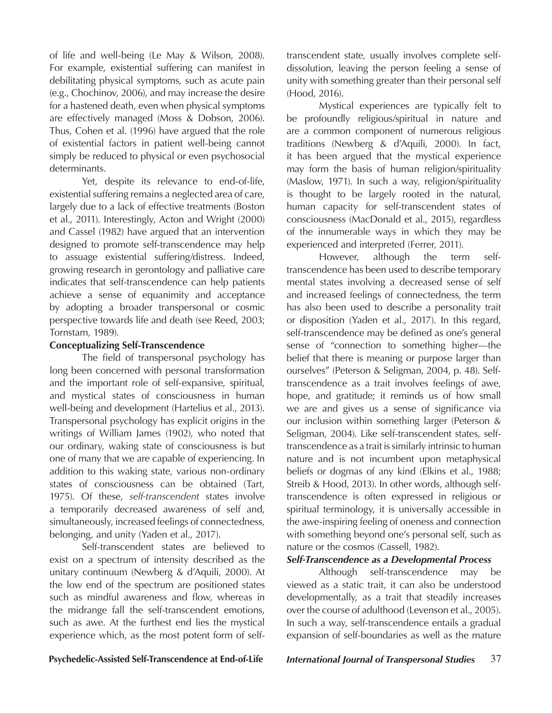of life and well-being (Le May & Wilson, 2008). For example, existential suffering can manifest in debilitating physical symptoms, such as acute pain (e.g., Chochinov, 2006), and may increase the desire for a hastened death, even when physical symptoms are effectively managed (Moss & Dobson, 2006). Thus, Cohen et al. (1996) have argued that the role of existential factors in patient well-being cannot simply be reduced to physical or even psychosocial determinants.

Yet, despite its relevance to end-of-life, existential suffering remains a neglected area of care, largely due to a lack of effective treatments (Boston et al., 2011). Interestingly, Acton and Wright (2000) and Cassel (1982) have argued that an intervention designed to promote self-transcendence may help to assuage existential suffering/distress. Indeed, growing research in gerontology and palliative care indicates that self-transcendence can help patients achieve a sense of equanimity and acceptance by adopting a broader transpersonal or cosmic perspective towards life and death (see Reed, 2003; Tornstam, 1989).

### **Conceptualizing Self-Transcendence**

The field of transpersonal psychology has long been concerned with personal transformation and the important role of self-expansive, spiritual, and mystical states of consciousness in human well-being and development (Hartelius et al., 2013). Transpersonal psychology has explicit origins in the writings of William James (1902), who noted that our ordinary, waking state of consciousness is but one of many that we are capable of experiencing. In addition to this waking state, various non-ordinary states of consciousness can be obtained (Tart, 1975). Of these, *self-transcendent* states involve a temporarily decreased awareness of self and, simultaneously, increased feelings of connectedness, belonging, and unity (Yaden et al., 2017).

Self-transcendent states are believed to exist on a spectrum of intensity described as the unitary continuum (Newberg & d'Aquili, 2000). At the low end of the spectrum are positioned states such as mindful awareness and flow, whereas in the midrange fall the self-transcendent emotions, such as awe. At the furthest end lies the mystical experience which, as the most potent form of selftranscendent state, usually involves complete selfdissolution, leaving the person feeling a sense of unity with something greater than their personal self (Hood, 2016).

Mystical experiences are typically felt to be profoundly religious/spiritual in nature and are a common component of numerous religious traditions (Newberg & d'Aquili, 2000). In fact, it has been argued that the mystical experience may form the basis of human religion/spirituality (Maslow, 1971). In such a way, religion/spirituality is thought to be largely rooted in the natural, human capacity for self-transcendent states of consciousness (MacDonald et al., 2015), regardless of the innumerable ways in which they may be experienced and interpreted (Ferrer, 2011).

However, although the term selftranscendence has been used to describe temporary mental states involving a decreased sense of self and increased feelings of connectedness, the term has also been used to describe a personality trait or disposition (Yaden et al., 2017). In this regard, self-transcendence may be defined as one's general sense of "connection to something higher—the belief that there is meaning or purpose larger than ourselves" (Peterson & Seligman, 2004, p. 48). Selftranscendence as a trait involves feelings of awe, hope, and gratitude; it reminds us of how small we are and gives us a sense of significance via our inclusion within something larger (Peterson & Seligman, 2004). Like self-transcendent states, selftranscendence as a trait is similarly intrinsic to human nature and is not incumbent upon metaphysical beliefs or dogmas of any kind (Elkins et al., 1988; Streib & Hood, 2013). In other words, although selftranscendence is often expressed in religious or spiritual terminology, it is universally accessible in the awe-inspiring feeling of oneness and connection with something beyond one's personal self, such as nature or the cosmos (Cassell, 1982).

## *Self-Transcendence as a Developmental Process*

Although self-transcendence may be viewed as a static trait, it can also be understood developmentally, as a trait that steadily increases over the course of adulthood (Levenson et al., 2005). In such a way, self-transcendence entails a gradual expansion of self-boundaries as well as the mature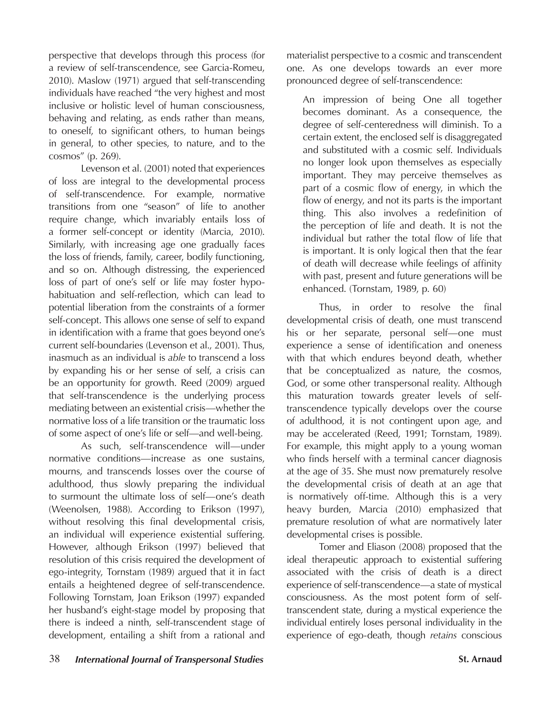perspective that develops through this process (for a review of self-transcendence, see Garcia-Romeu, 2010). Maslow (1971) argued that self-transcending individuals have reached "the very highest and most inclusive or holistic level of human consciousness, behaving and relating, as ends rather than means, to oneself, to significant others, to human beings in general, to other species, to nature, and to the cosmos" (p. 269).

Levenson et al. (2001) noted that experiences of loss are integral to the developmental process of self-transcendence. For example, normative transitions from one "season" of life to another require change, which invariably entails loss of a former self-concept or identity (Marcia, 2010). Similarly, with increasing age one gradually faces the loss of friends, family, career, bodily functioning, and so on. Although distressing, the experienced loss of part of one's self or life may foster hypohabituation and self-reflection, which can lead to potential liberation from the constraints of a former self-concept. This allows one sense of self to expand in identification with a frame that goes beyond one's current self-boundaries (Levenson et al., 2001). Thus, inasmuch as an individual is *able* to transcend a loss by expanding his or her sense of self, a crisis can be an opportunity for growth. Reed (2009) argued that self-transcendence is the underlying process mediating between an existential crisis—whether the normative loss of a life transition or the traumatic loss of some aspect of one's life or self—and well-being.

As such, self-transcendence will—under normative conditions—increase as one sustains, mourns, and transcends losses over the course of adulthood, thus slowly preparing the individual to surmount the ultimate loss of self—one's death (Weenolsen, 1988). According to Erikson (1997), without resolving this final developmental crisis, an individual will experience existential suffering. However, although Erikson (1997) believed that resolution of this crisis required the development of ego-integrity, Tornstam (1989) argued that it in fact entails a heightened degree of self-transcendence. Following Tornstam, Joan Erikson (1997) expanded her husband's eight-stage model by proposing that there is indeed a ninth, self-transcendent stage of development, entailing a shift from a rational and

materialist perspective to a cosmic and transcendent one. As one develops towards an ever more pronounced degree of self-transcendence:

An impression of being One all together becomes dominant. As a consequence, the degree of self-centeredness will diminish. To a certain extent, the enclosed self is disaggregated and substituted with a cosmic self. Individuals no longer look upon themselves as especially important. They may perceive themselves as part of a cosmic flow of energy, in which the flow of energy, and not its parts is the important thing. This also involves a redefinition of the perception of life and death. It is not the individual but rather the total flow of life that is important. It is only logical then that the fear of death will decrease while feelings of affinity with past, present and future generations will be enhanced. (Tornstam, 1989, p. 60)

Thus, in order to resolve the final developmental crisis of death, one must transcend his or her separate, personal self—one must experience a sense of identification and oneness with that which endures beyond death, whether that be conceptualized as nature, the cosmos, God, or some other transpersonal reality. Although this maturation towards greater levels of selftranscendence typically develops over the course of adulthood, it is not contingent upon age, and may be accelerated (Reed, 1991; Tornstam, 1989). For example, this might apply to a young woman who finds herself with a terminal cancer diagnosis at the age of 35. She must now prematurely resolve the developmental crisis of death at an age that is normatively off-time. Although this is a very heavy burden, Marcia (2010) emphasized that premature resolution of what are normatively later developmental crises is possible.

Tomer and Eliason (2008) proposed that the ideal therapeutic approach to existential suffering associated with the crisis of death is a direct experience of self-transcendence—a state of mystical consciousness. As the most potent form of selftranscendent state, during a mystical experience the individual entirely loses personal individuality in the experience of ego-death, though *retains* conscious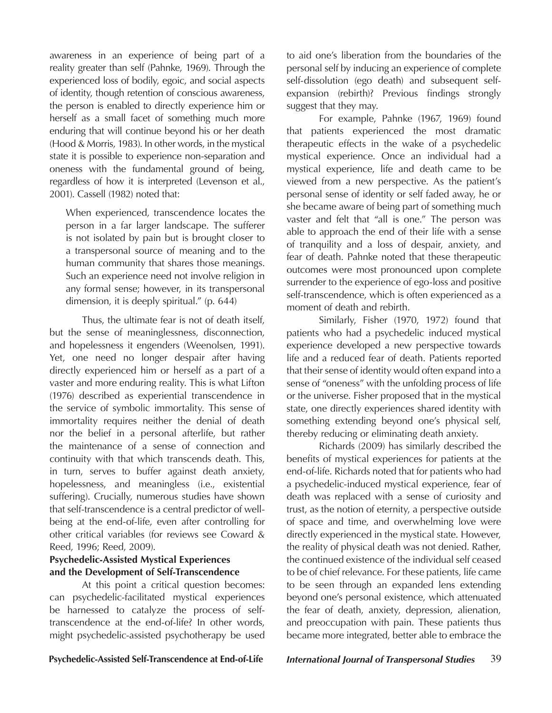awareness in an experience of being part of a reality greater than self (Pahnke, 1969). Through the experienced loss of bodily, egoic, and social aspects of identity, though retention of conscious awareness, the person is enabled to directly experience him or herself as a small facet of something much more enduring that will continue beyond his or her death (Hood & Morris, 1983). In other words, in the mystical state it is possible to experience non-separation and oneness with the fundamental ground of being, regardless of how it is interpreted (Levenson et al., 2001). Cassell (1982) noted that:

When experienced, transcendence locates the person in a far larger landscape. The sufferer is not isolated by pain but is brought closer to a transpersonal source of meaning and to the human community that shares those meanings. Such an experience need not involve religion in any formal sense; however, in its transpersonal dimension, it is deeply spiritual." (p. 644)

Thus, the ultimate fear is not of death itself, but the sense of meaninglessness, disconnection, and hopelessness it engenders (Weenolsen, 1991). Yet, one need no longer despair after having directly experienced him or herself as a part of a vaster and more enduring reality. This is what Lifton (1976) described as experiential transcendence in the service of symbolic immortality. This sense of immortality requires neither the denial of death nor the belief in a personal afterlife, but rather the maintenance of a sense of connection and continuity with that which transcends death. This, in turn, serves to buffer against death anxiety, hopelessness, and meaningless (i.e., existential suffering). Crucially, numerous studies have shown that self-transcendence is a central predictor of wellbeing at the end-of-life, even after controlling for other critical variables (for reviews see Coward & Reed, 1996; Reed, 2009).

# **Psychedelic-Assisted Mystical Experiences and the Development of Self-Transcendence**

At this point a critical question becomes: can psychedelic-facilitated mystical experiences be harnessed to catalyze the process of selftranscendence at the end-of-life? In other words, might psychedelic-assisted psychotherapy be used to aid one's liberation from the boundaries of the personal self by inducing an experience of complete self-dissolution (ego death) and subsequent selfexpansion (rebirth)? Previous findings strongly suggest that they may.

For example, Pahnke (1967, 1969) found that patients experienced the most dramatic therapeutic effects in the wake of a psychedelic mystical experience. Once an individual had a mystical experience, life and death came to be viewed from a new perspective. As the patient's personal sense of identity or self faded away, he or she became aware of being part of something much vaster and felt that "all is one." The person was able to approach the end of their life with a sense of tranquility and a loss of despair, anxiety, and fear of death. Pahnke noted that these therapeutic outcomes were most pronounced upon complete surrender to the experience of ego-loss and positive self-transcendence, which is often experienced as a moment of death and rebirth.

Similarly, Fisher (1970, 1972) found that patients who had a psychedelic induced mystical experience developed a new perspective towards life and a reduced fear of death. Patients reported that their sense of identity would often expand into a sense of "oneness" with the unfolding process of life or the universe. Fisher proposed that in the mystical state, one directly experiences shared identity with something extending beyond one's physical self, thereby reducing or eliminating death anxiety.

Richards (2009) has similarly described the benefits of mystical experiences for patients at the end-of-life. Richards noted that for patients who had a psychedelic-induced mystical experience, fear of death was replaced with a sense of curiosity and trust, as the notion of eternity, a perspective outside of space and time, and overwhelming love were directly experienced in the mystical state. However, the reality of physical death was not denied. Rather, the continued existence of the individual self ceased to be of chief relevance. For these patients, life came to be seen through an expanded lens extending beyond one's personal existence, which attenuated the fear of death, anxiety, depression, alienation, and preoccupation with pain. These patients thus became more integrated, better able to embrace the

**Psychedelic-Assisted Self-Transcendence at End-of-Life** *International Journal of Transpersonal Studies* 39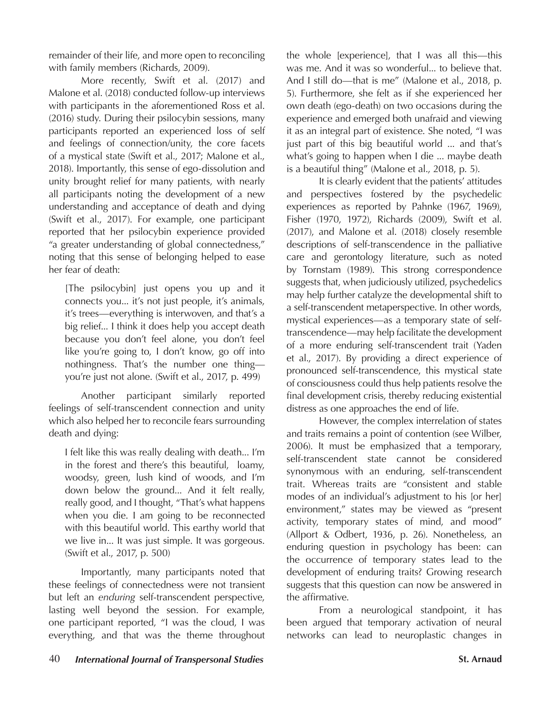remainder of their life, and more open to reconciling with family members (Richards, 2009).

More recently, Swift et al. (2017) and Malone et al. (2018) conducted follow-up interviews with participants in the aforementioned Ross et al. (2016) study. During their psilocybin sessions, many participants reported an experienced loss of self and feelings of connection/unity, the core facets of a mystical state (Swift et al., 2017; Malone et al., 2018). Importantly, this sense of ego-dissolution and unity brought relief for many patients, with nearly all participants noting the development of a new understanding and acceptance of death and dying (Swift et al., 2017). For example, one participant reported that her psilocybin experience provided "a greater understanding of global connectedness," noting that this sense of belonging helped to ease her fear of death:

[The psilocybin] just opens you up and it connects you... it's not just people, it's animals, it's trees—everything is interwoven, and that's a big relief... I think it does help you accept death because you don't feel alone, you don't feel like you're going to, I don't know, go off into nothingness. That's the number one thing you're just not alone. (Swift et al., 2017, p. 499)

Another participant similarly reported feelings of self-transcendent connection and unity which also helped her to reconcile fears surrounding death and dying:

I felt like this was really dealing with death... I'm in the forest and there's this beautiful, loamy, woodsy, green, lush kind of woods, and I'm down below the ground... And it felt really, really good, and I thought, "That's what happens when you die. I am going to be reconnected with this beautiful world. This earthy world that we live in... It was just simple. It was gorgeous. (Swift et al., 2017, p. 500)

Importantly, many participants noted that these feelings of connectedness were not transient but left an *enduring* self-transcendent perspective, lasting well beyond the session. For example, one participant reported, "I was the cloud, I was everything, and that was the theme throughout the whole [experience], that I was all this—this was me. And it was so wonderful... to believe that. And I still do—that is me" (Malone et al., 2018, p. 5). Furthermore, she felt as if she experienced her own death (ego-death) on two occasions during the experience and emerged both unafraid and viewing it as an integral part of existence. She noted, "I was just part of this big beautiful world ... and that's what's going to happen when I die ... maybe death is a beautiful thing" (Malone et al., 2018, p. 5).

It is clearly evident that the patients' attitudes and perspectives fostered by the psychedelic experiences as reported by Pahnke (1967, 1969), Fisher (1970, 1972), Richards (2009), Swift et al. (2017), and Malone et al. (2018) closely resemble descriptions of self-transcendence in the palliative care and gerontology literature, such as noted by Tornstam (1989). This strong correspondence suggests that, when judiciously utilized, psychedelics may help further catalyze the developmental shift to a self-transcendent metaperspective. In other words, mystical experiences—as a temporary state of selftranscendence—may help facilitate the development of a more enduring self-transcendent trait (Yaden et al., 2017). By providing a direct experience of pronounced self-transcendence, this mystical state of consciousness could thus help patients resolve the final development crisis, thereby reducing existential distress as one approaches the end of life.

However, the complex interrelation of states and traits remains a point of contention (see Wilber, 2006). It must be emphasized that a temporary, self-transcendent state cannot be considered synonymous with an enduring, self-transcendent trait. Whereas traits are "consistent and stable modes of an individual's adjustment to his [or her] environment," states may be viewed as "present activity, temporary states of mind, and mood" (Allport & Odbert, 1936, p. 26). Nonetheless, an enduring question in psychology has been: can the occurrence of temporary states lead to the development of enduring traits? Growing research suggests that this question can now be answered in the affirmative.

From a neurological standpoint, it has been argued that temporary activation of neural networks can lead to neuroplastic changes in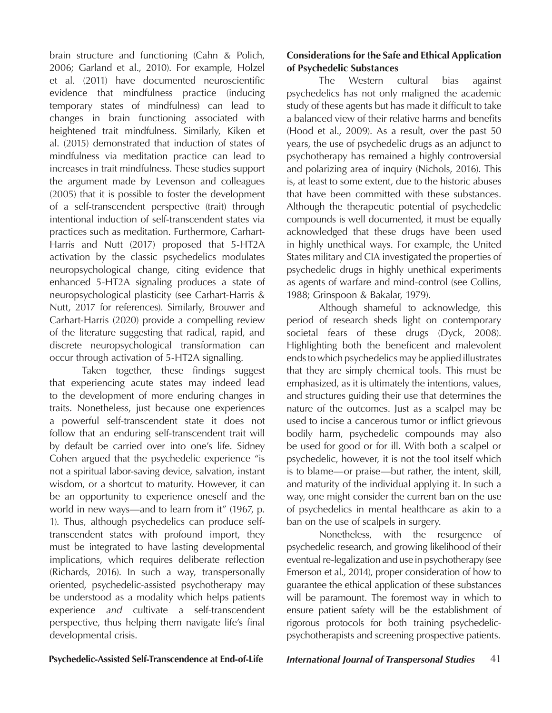brain structure and functioning (Cahn & Polich, 2006; Garland et al., 2010). For example, Holzel et al. (2011) have documented neuroscientific evidence that mindfulness practice (inducing temporary states of mindfulness) can lead to changes in brain functioning associated with heightened trait mindfulness. Similarly, Kiken et al. (2015) demonstrated that induction of states of mindfulness via meditation practice can lead to increases in trait mindfulness. These studies support the argument made by Levenson and colleagues (2005) that it is possible to foster the development of a self-transcendent perspective (trait) through intentional induction of self-transcendent states via practices such as meditation. Furthermore, Carhart-Harris and Nutt (2017) proposed that 5-HT2A activation by the classic psychedelics modulates neuropsychological change, citing evidence that enhanced 5-HT2A signaling produces a state of neuropsychological plasticity (see Carhart-Harris & Nutt, 2017 for references). Similarly, Brouwer and Carhart-Harris (2020) provide a compelling review of the literature suggesting that radical, rapid, and discrete neuropsychological transformation can occur through activation of 5-HT2A signalling.

Taken together, these findings suggest that experiencing acute states may indeed lead to the development of more enduring changes in traits. Nonetheless, just because one experiences a powerful self-transcendent state it does not follow that an enduring self-transcendent trait will by default be carried over into one's life. Sidney Cohen argued that the psychedelic experience "is not a spiritual labor-saving device, salvation, instant wisdom, or a shortcut to maturity. However, it can be an opportunity to experience oneself and the world in new ways—and to learn from it" (1967, p. 1). Thus, although psychedelics can produce selftranscendent states with profound import, they must be integrated to have lasting developmental implications, which requires deliberate reflection (Richards, 2016). In such a way, transpersonally oriented, psychedelic-assisted psychotherapy may be understood as a modality which helps patients experience *and* cultivate a self-transcendent perspective, thus helping them navigate life's final developmental crisis.

# **Considerations for the Safe and Ethical Application of Psychedelic Substances**

The Western cultural bias against psychedelics has not only maligned the academic study of these agents but has made it difficult to take a balanced view of their relative harms and benefits (Hood et al., 2009). As a result, over the past 50 years, the use of psychedelic drugs as an adjunct to psychotherapy has remained a highly controversial and polarizing area of inquiry (Nichols, 2016). This is, at least to some extent, due to the historic abuses that have been committed with these substances. Although the therapeutic potential of psychedelic compounds is well documented, it must be equally acknowledged that these drugs have been used in highly unethical ways. For example, the United States military and CIA investigated the properties of psychedelic drugs in highly unethical experiments as agents of warfare and mind-control (see Collins, 1988; Grinspoon & Bakalar, 1979).

Although shameful to acknowledge, this period of research sheds light on contemporary societal fears of these drugs (Dyck, 2008). Highlighting both the beneficent and malevolent ends to which psychedelics may be applied illustrates that they are simply chemical tools. This must be emphasized, as it is ultimately the intentions, values, and structures guiding their use that determines the nature of the outcomes. Just as a scalpel may be used to incise a cancerous tumor or inflict grievous bodily harm, psychedelic compounds may also be used for good or for ill. With both a scalpel or psychedelic, however, it is not the tool itself which is to blame—or praise—but rather, the intent, skill, and maturity of the individual applying it. In such a way, one might consider the current ban on the use of psychedelics in mental healthcare as akin to a ban on the use of scalpels in surgery.

Nonetheless, with the resurgence of psychedelic research, and growing likelihood of their eventual re-legalization and use in psychotherapy (see Emerson et al., 2014), proper consideration of how to guarantee the ethical application of these substances will be paramount. The foremost way in which to ensure patient safety will be the establishment of rigorous protocols for both training psychedelicpsychotherapists and screening prospective patients.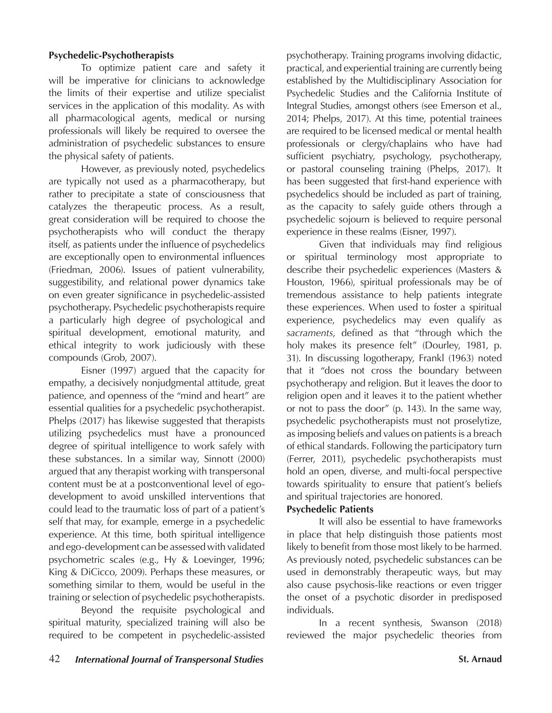# **Psychedelic-Psychotherapists**

To optimize patient care and safety it will be imperative for clinicians to acknowledge the limits of their expertise and utilize specialist services in the application of this modality. As with all pharmacological agents, medical or nursing professionals will likely be required to oversee the administration of psychedelic substances to ensure the physical safety of patients.

However, as previously noted, psychedelics are typically not used as a pharmacotherapy, but rather to precipitate a state of consciousness that catalyzes the therapeutic process. As a result, great consideration will be required to choose the psychotherapists who will conduct the therapy itself, as patients under the influence of psychedelics are exceptionally open to environmental influences (Friedman, 2006). Issues of patient vulnerability, suggestibility, and relational power dynamics take on even greater significance in psychedelic-assisted psychotherapy. Psychedelic psychotherapists require a particularly high degree of psychological and spiritual development, emotional maturity, and ethical integrity to work judiciously with these compounds (Grob, 2007).

Eisner (1997) argued that the capacity for empathy, a decisively nonjudgmental attitude, great patience, and openness of the "mind and heart" are essential qualities for a psychedelic psychotherapist. Phelps (2017) has likewise suggested that therapists utilizing psychedelics must have a pronounced degree of spiritual intelligence to work safely with these substances. In a similar way, Sinnott (2000) argued that any therapist working with transpersonal content must be at a postconventional level of egodevelopment to avoid unskilled interventions that could lead to the traumatic loss of part of a patient's self that may, for example, emerge in a psychedelic experience. At this time, both spiritual intelligence and ego-development can be assessed with validated psychometric scales (e.g., Hy & Loevinger, 1996; King & DiCicco, 2009). Perhaps these measures, or something similar to them, would be useful in the training or selection of psychedelic psychotherapists.

Beyond the requisite psychological and spiritual maturity, specialized training will also be required to be competent in psychedelic-assisted

psychotherapy. Training programs involving didactic, practical, and experiential training are currently being established by the Multidisciplinary Association for Psychedelic Studies and the California Institute of Integral Studies, amongst others (see Emerson et al., 2014; Phelps, 2017). At this time, potential trainees are required to be licensed medical or mental health professionals or clergy/chaplains who have had sufficient psychiatry, psychology, psychotherapy, or pastoral counseling training (Phelps, 2017). It has been suggested that first-hand experience with psychedelics should be included as part of training, as the capacity to safely guide others through a psychedelic sojourn is believed to require personal experience in these realms (Eisner, 1997).

Given that individuals may find religious or spiritual terminology most appropriate to describe their psychedelic experiences (Masters & Houston, 1966), spiritual professionals may be of tremendous assistance to help patients integrate these experiences. When used to foster a spiritual experience, psychedelics may even qualify as *sacraments*, defined as that "through which the holy makes its presence felt" (Dourley, 1981, p. 31). In discussing logotherapy, Frankl (1963) noted that it "does not cross the boundary between psychotherapy and religion. But it leaves the door to religion open and it leaves it to the patient whether or not to pass the door" (p. 143). In the same way, psychedelic psychotherapists must not proselytize, as imposing beliefs and values on patients is a breach of ethical standards. Following the participatory turn (Ferrer, 2011), psychedelic psychotherapists must hold an open, diverse, and multi-focal perspective towards spirituality to ensure that patient's beliefs and spiritual trajectories are honored.

### **Psychedelic Patients**

It will also be essential to have frameworks in place that help distinguish those patients most likely to benefit from those most likely to be harmed. As previously noted, psychedelic substances can be used in demonstrably therapeutic ways, but may also cause psychosis-like reactions or even trigger the onset of a psychotic disorder in predisposed individuals.

In a recent synthesis, Swanson (2018) reviewed the major psychedelic theories from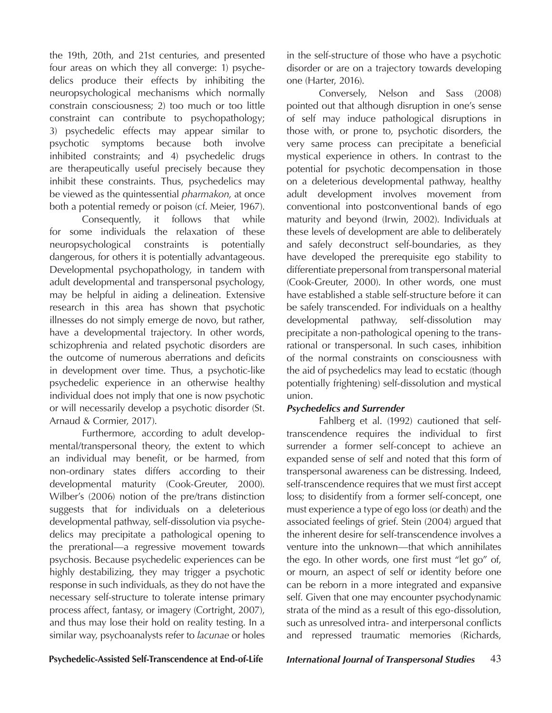the 19th, 20th, and 21st centuries, and presented four areas on which they all converge: 1) psychedelics produce their effects by inhibiting the neuropsychological mechanisms which normally constrain consciousness; 2) too much or too little constraint can contribute to psychopathology; 3) psychedelic effects may appear similar to psychotic symptoms because both involve inhibited constraints; and 4) psychedelic drugs are therapeutically useful precisely because they inhibit these constraints. Thus, psychedelics may be viewed as the quintessential *pharmakon*, at once both a potential remedy or poison (cf. Meier, 1967).

Consequently, it follows that while for some individuals the relaxation of these neuropsychological constraints is potentially dangerous, for others it is potentially advantageous. Developmental psychopathology, in tandem with adult developmental and transpersonal psychology, may be helpful in aiding a delineation. Extensive research in this area has shown that psychotic illnesses do not simply emerge de novo, but rather, have a developmental trajectory. In other words, schizophrenia and related psychotic disorders are the outcome of numerous aberrations and deficits in development over time. Thus, a psychotic-like psychedelic experience in an otherwise healthy individual does not imply that one is now psychotic or will necessarily develop a psychotic disorder (St. Arnaud & Cormier, 2017).

Furthermore, according to adult developmental/transpersonal theory, the extent to which an individual may benefit, or be harmed, from non-ordinary states differs according to their developmental maturity (Cook-Greuter, 2000). Wilber's (2006) notion of the pre/trans distinction suggests that for individuals on a deleterious developmental pathway, self-dissolution via psychedelics may precipitate a pathological opening to the prerational—a regressive movement towards psychosis. Because psychedelic experiences can be highly destabilizing, they may trigger a psychotic response in such individuals, as they do not have the necessary self-structure to tolerate intense primary process affect, fantasy, or imagery (Cortright, 2007), and thus may lose their hold on reality testing. In a similar way, psychoanalysts refer to *lacunae* or holes

in the self-structure of those who have a psychotic disorder or are on a trajectory towards developing one (Harter, 2016).

Conversely, Nelson and Sass (2008) pointed out that although disruption in one's sense of self may induce pathological disruptions in those with, or prone to, psychotic disorders, the very same process can precipitate a beneficial mystical experience in others. In contrast to the potential for psychotic decompensation in those on a deleterious developmental pathway, healthy adult development involves movement from conventional into postconventional bands of ego maturity and beyond (Irwin, 2002). Individuals at these levels of development are able to deliberately and safely deconstruct self-boundaries, as they have developed the prerequisite ego stability to differentiate prepersonal from transpersonal material (Cook-Greuter, 2000). In other words, one must have established a stable self-structure before it can be safely transcended. For individuals on a healthy developmental pathway, self-dissolution may precipitate a non-pathological opening to the transrational or transpersonal. In such cases, inhibition of the normal constraints on consciousness with the aid of psychedelics may lead to ecstatic (though potentially frightening) self-dissolution and mystical union.

# *Psychedelics and Surrender*

Fahlberg et al. (1992) cautioned that selftranscendence requires the individual to first surrender a former self-concept to achieve an expanded sense of self and noted that this form of transpersonal awareness can be distressing. Indeed, self-transcendence requires that we must first accept loss; to disidentify from a former self-concept, one must experience a type of ego loss (or death) and the associated feelings of grief. Stein (2004) argued that the inherent desire for self-transcendence involves a venture into the unknown—that which annihilates the ego. In other words, one first must "let go" of, or mourn, an aspect of self or identity before one can be reborn in a more integrated and expansive self. Given that one may encounter psychodynamic strata of the mind as a result of this ego-dissolution, such as unresolved intra- and interpersonal conflicts and repressed traumatic memories (Richards,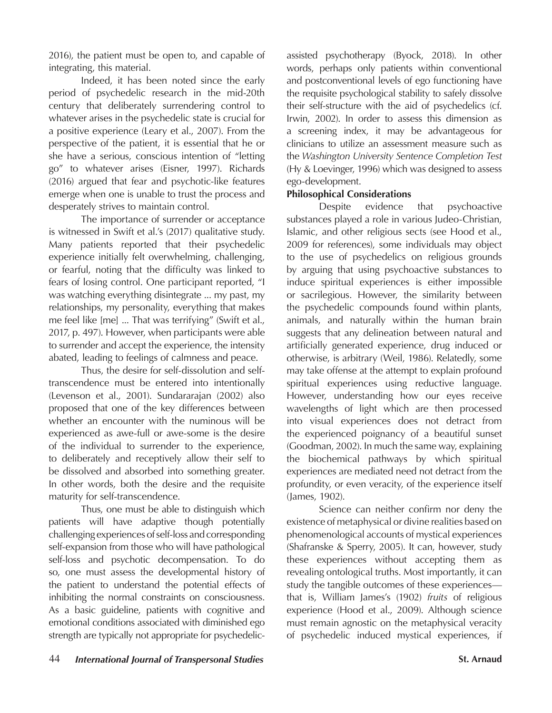2016), the patient must be open to, and capable of integrating, this material.

Indeed, it has been noted since the early period of psychedelic research in the mid-20th century that deliberately surrendering control to whatever arises in the psychedelic state is crucial for a positive experience (Leary et al., 2007). From the perspective of the patient, it is essential that he or she have a serious, conscious intention of "letting go" to whatever arises (Eisner, 1997). Richards (2016) argued that fear and psychotic-like features emerge when one is unable to trust the process and desperately strives to maintain control.

The importance of surrender or acceptance is witnessed in Swift et al.'s (2017) qualitative study. Many patients reported that their psychedelic experience initially felt overwhelming, challenging, or fearful, noting that the difficulty was linked to fears of losing control. One participant reported, "I was watching everything disintegrate ... my past, my relationships, my personality, everything that makes me feel like [me] ... That was terrifying" (Swift et al., 2017, p. 497). However, when participants were able to surrender and accept the experience, the intensity abated, leading to feelings of calmness and peace.

Thus, the desire for self-dissolution and selftranscendence must be entered into intentionally (Levenson et al., 2001). Sundararajan (2002) also proposed that one of the key differences between whether an encounter with the numinous will be experienced as awe-full or awe-some is the desire of the individual to surrender to the experience, to deliberately and receptively allow their self to be dissolved and absorbed into something greater. In other words, both the desire and the requisite maturity for self-transcendence.

Thus, one must be able to distinguish which patients will have adaptive though potentially challenging experiences of self-loss and corresponding self-expansion from those who will have pathological self-loss and psychotic decompensation. To do so, one must assess the developmental history of the patient to understand the potential effects of inhibiting the normal constraints on consciousness. As a basic guideline, patients with cognitive and emotional conditions associated with diminished ego strength are typically not appropriate for psychedelicassisted psychotherapy (Byock, 2018). In other words, perhaps only patients within conventional and postconventional levels of ego functioning have the requisite psychological stability to safely dissolve their self-structure with the aid of psychedelics (cf. Irwin, 2002). In order to assess this dimension as a screening index, it may be advantageous for clinicians to utilize an assessment measure such as the *Washington University Sentence Completion Test* (Hy & Loevinger, 1996) which was designed to assess ego-development.

# **Philosophical Considerations**

Despite evidence that psychoactive substances played a role in various Judeo-Christian, Islamic, and other religious sects (see Hood et al., 2009 for references), some individuals may object to the use of psychedelics on religious grounds by arguing that using psychoactive substances to induce spiritual experiences is either impossible or sacrilegious. However, the similarity between the psychedelic compounds found within plants, animals, and naturally within the human brain suggests that any delineation between natural and artificially generated experience, drug induced or otherwise, is arbitrary (Weil, 1986). Relatedly, some may take offense at the attempt to explain profound spiritual experiences using reductive language. However, understanding how our eyes receive wavelengths of light which are then processed into visual experiences does not detract from the experienced poignancy of a beautiful sunset (Goodman, 2002). In much the same way, explaining the biochemical pathways by which spiritual experiences are mediated need not detract from the profundity, or even veracity, of the experience itself (James, 1902).

Science can neither confirm nor deny the existence of metaphysical or divine realities based on phenomenological accounts of mystical experiences (Shafranske & Sperry, 2005). It can, however, study these experiences without accepting them as revealing ontological truths. Most importantly, it can study the tangible outcomes of these experiences that is, William James's (1902) *fruits* of religious experience (Hood et al., 2009). Although science must remain agnostic on the metaphysical veracity of psychedelic induced mystical experiences, if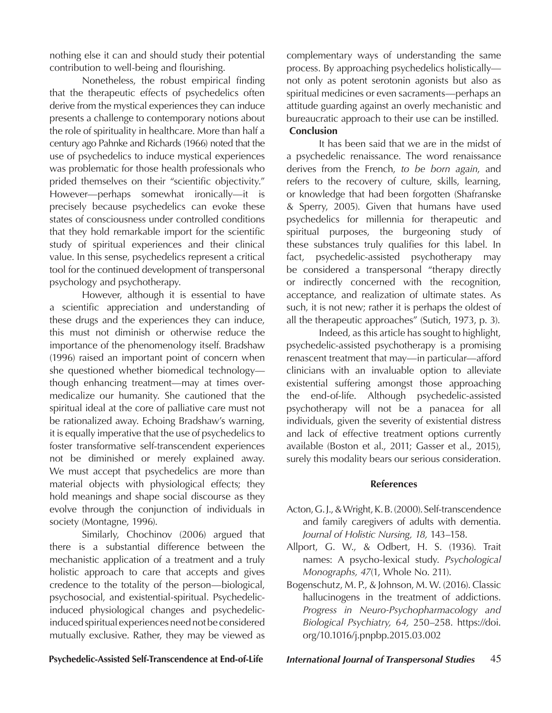nothing else it can and should study their potential contribution to well-being and flourishing.

Nonetheless, the robust empirical finding that the therapeutic effects of psychedelics often derive from the mystical experiences they can induce presents a challenge to contemporary notions about the role of spirituality in healthcare. More than half a century ago Pahnke and Richards (1966) noted that the use of psychedelics to induce mystical experiences was problematic for those health professionals who prided themselves on their "scientific objectivity." However—perhaps somewhat ironically—it is precisely because psychedelics can evoke these states of consciousness under controlled conditions that they hold remarkable import for the scientific study of spiritual experiences and their clinical value. In this sense, psychedelics represent a critical tool for the continued development of transpersonal psychology and psychotherapy.

However, although it is essential to have a scientific appreciation and understanding of these drugs and the experiences they can induce, this must not diminish or otherwise reduce the importance of the phenomenology itself. Bradshaw (1996) raised an important point of concern when she questioned whether biomedical technology though enhancing treatment—may at times overmedicalize our humanity. She cautioned that the spiritual ideal at the core of palliative care must not be rationalized away. Echoing Bradshaw's warning, it is equally imperative that the use of psychedelics to foster transformative self-transcendent experiences not be diminished or merely explained away. We must accept that psychedelics are more than material objects with physiological effects; they hold meanings and shape social discourse as they evolve through the conjunction of individuals in society (Montagne, 1996).

Similarly, Chochinov (2006) argued that there is a substantial difference between the mechanistic application of a treatment and a truly holistic approach to care that accepts and gives credence to the totality of the person—biological, psychosocial, and existential-spiritual. Psychedelicinduced physiological changes and psychedelicinduced spiritual experiences need not be considered mutually exclusive. Rather, they may be viewed as

complementary ways of understanding the same process. By approaching psychedelics holistically not only as potent serotonin agonists but also as spiritual medicines or even sacraments—perhaps an attitude guarding against an overly mechanistic and bureaucratic approach to their use can be instilled. **Conclusion**

It has been said that we are in the midst of a psychedelic renaissance. The word renaissance derives from the French, *to be born again*, and refers to the recovery of culture, skills, learning, or knowledge that had been forgotten (Shafranske & Sperry, 2005). Given that humans have used psychedelics for millennia for therapeutic and spiritual purposes, the burgeoning study of these substances truly qualifies for this label. In fact, psychedelic-assisted psychotherapy may be considered a transpersonal "therapy directly or indirectly concerned with the recognition, acceptance, and realization of ultimate states. As such, it is not new; rather it is perhaps the oldest of all the therapeutic approaches" (Sutich, 1973, p. 3).

Indeed, as this article has sought to highlight, psychedelic-assisted psychotherapy is a promising renascent treatment that may—in particular—afford clinicians with an invaluable option to alleviate existential suffering amongst those approaching the end-of-life. Although psychedelic-assisted psychotherapy will not be a panacea for all individuals, given the severity of existential distress and lack of effective treatment options currently available (Boston et al., 2011; Gasser et al., 2015), surely this modality bears our serious consideration.

# **References**

- Acton, G. J., & Wright, K. B. (2000). Self-transcendence and family caregivers of adults with dementia. *Journal of Holistic Nursing, 18,* 143–158.
- Allport, G. W., & Odbert, H. S. (1936). Trait names: A psycho-lexical study. *Psychological Monographs, 47*(1, Whole No. 211).
- Bogenschutz, M. P., & Johnson, M. W. (2016). Classic hallucinogens in the treatment of addictions. *Progress in Neuro-Psychopharmacology and Biological Psychiatry, 64,* 250–258. https://doi. org/10.1016/j.pnpbp.2015.03.002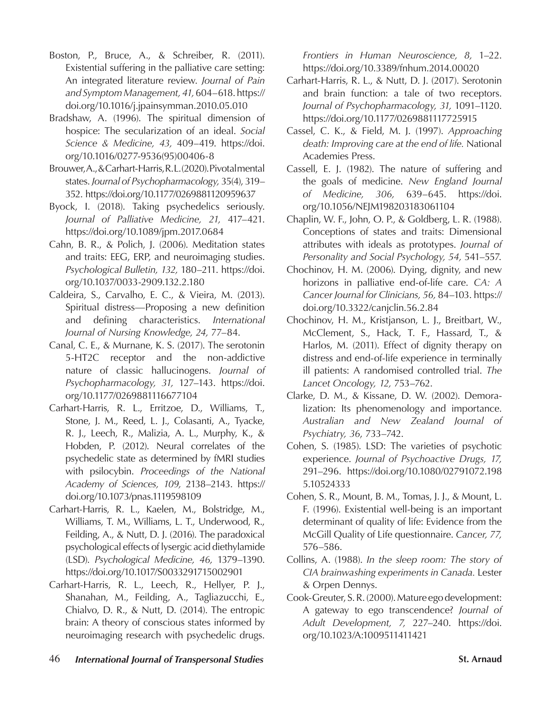- Boston, P., Bruce, A., & Schreiber, R. (2011). Existential suffering in the palliative care setting: An integrated literature review. *Journal of Pain and Symptom Management, 41,* 604–618. https:// doi.org/10.1016/j.jpainsymman.2010.05.010
- Bradshaw, A. (1996). The spiritual dimension of hospice: The secularization of an ideal. *Social Science & Medicine, 43,* 409–419. https://doi. org/10.1016/0277-9536(95)00406-8
- Brouwer, A., & Carhart-Harris, R. L. (2020). Pivotal mental states. *Journal of Psychopharmacology,* 35(4), 319– 352. https://doi.org/10.1177/0269881120959637
- Byock, I. (2018). Taking psychedelics seriously. *Journal of Palliative Medicine, 21,* 417–421. https://doi.org/10.1089/jpm.2017.0684
- Cahn, B. R., & Polich, J. (2006). Meditation states and traits: EEG, ERP, and neuroimaging studies. *Psychological Bulletin, 132,* 180–211. https://doi. org/10.1037/0033-2909.132.2.180
- Caldeira, S., Carvalho, E. C., & Vieira, M. (2013). Spiritual distress—Proposing a new definition and defining characteristics. *International Journal of Nursing Knowledge, 24,* 77–84.
- Canal, C. E., & Murnane, K. S. (2017). The serotonin 5-HT2C receptor and the non-addictive nature of classic hallucinogens. *Journal of Psychopharmacology, 31,* 127–143. https://doi. org/10.1177/0269881116677104
- Carhart-Harris, R. L., Erritzoe, D., Williams, T., Stone, J. M., Reed, L. J., Colasanti, A., Tyacke, R. J., Leech, R., Malizia, A. L., Murphy, K., & Hobden, P. (2012). Neural correlates of the psychedelic state as determined by fMRI studies with psilocybin. *Proceedings of the National Academy of Sciences, 109,* 2138–2143. https:// doi.org/10.1073/pnas.1119598109
- Carhart-Harris, R. L., Kaelen, M., Bolstridge, M., Williams, T. M., Williams, L. T., Underwood, R., Feilding, A., & Nutt, D. J. (2016). The paradoxical psychological effects of lysergic acid diethylamide (LSD). *Psychological Medicine, 46,* 1379–1390. https://doi.org/10.1017/S0033291715002901
- Carhart-Harris, R. L., Leech, R., Hellyer, P. J., Shanahan, M., Feilding, A., Tagliazucchi, E., Chialvo, D. R., & Nutt, D. (2014). The entropic brain: A theory of conscious states informed by neuroimaging research with psychedelic drugs.

*Frontiers in Human Neuroscience, 8,* 1–22. https://doi.org/10.3389/fnhum.2014.00020

- Carhart-Harris, R. L., & Nutt, D. J. (2017). Serotonin and brain function: a tale of two receptors. *Journal of Psychopharmacology, 31,* 1091–1120. https://doi.org/10.1177/0269881117725915
- Cassel, C. K., & Field, M. J. (1997). *Approaching death: Improving care at the end of life.* National Academies Press.
- Cassell, E. J. (1982). The nature of suffering and the goals of medicine. *New England Journal of Medicine, 306,* 639–645. https://doi. org/10.1056/NEJM198203183061104
- Chaplin, W. F., John, O. P., & Goldberg, L. R. (1988). Conceptions of states and traits: Dimensional attributes with ideals as prototypes. *Journal of Personality and Social Psychology, 54,* 541–557.
- Chochinov, H. M. (2006). Dying, dignity, and new horizons in palliative end-of-life care. *CA: A Cancer Journal for Clinicians, 56,* 84–103. https:// doi.org/10.3322/canjclin.56.2.84
- Chochinov, H. M., Kristjanson, L. J., Breitbart, W., McClement, S., Hack, T. F., Hassard, T., & Harlos, M. (2011). Effect of dignity therapy on distress and end-of-life experience in terminally ill patients: A randomised controlled trial. *The Lancet Oncology, 12,* 753–762.
- Clarke, D. M., & Kissane, D. W. (2002). Demoralization: Its phenomenology and importance. *Australian and New Zealand Journal of Psychiatry, 36*, 733–742.
- Cohen, S. (1985). LSD: The varieties of psychotic experience. *Journal of Psychoactive Drugs, 17,*  291–296. https://doi.org/10.1080/02791072.198 5.10524333
- Cohen, S. R., Mount, B. M., Tomas, J. J., & Mount, L. F. (1996). Existential well-being is an important determinant of quality of life: Evidence from the McGill Quality of Life questionnaire. *Cancer, 77,* 576–586.
- Collins, A. (1988). *In the sleep room: The story of CIA brainwashing experiments in Canada.* Lester & Orpen Dennys.
- Cook-Greuter, S. R. (2000). Mature ego development: A gateway to ego transcendence? *Journal of Adult Development, 7,* 227–240. https://doi. org/10.1023/A:1009511411421
- 46 *International Journal of Transpersonal Studies* **St. Arnaud**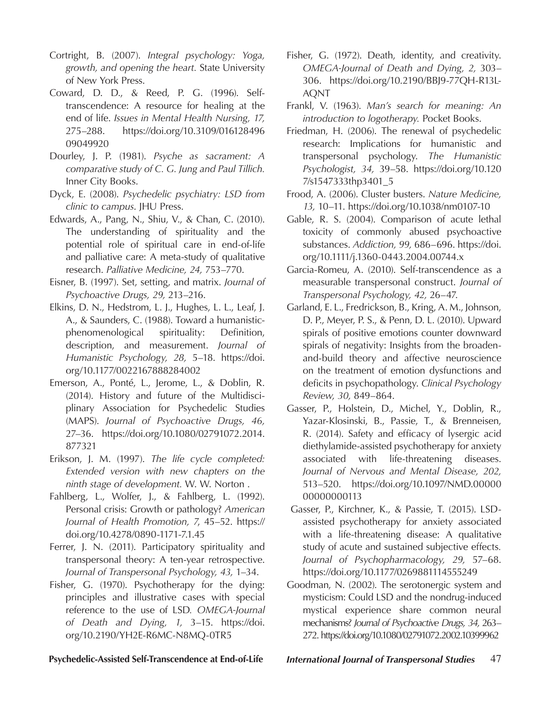- Cortright, B. (2007). *Integral psychology: Yoga, growth, and opening the heart.* State University of New York Press.
- Coward, D. D., & Reed, P. G. (1996). Selftranscendence: A resource for healing at the end of life. *Issues in Mental Health Nursing, 17,*  275–288. https://doi.org/10.3109/016128496 09049920
- Dourley, J. P. (1981). *Psyche as sacrament: A comparative study of C. G. Jung and Paul Tillich.*  Inner City Books.
- Dyck, E. (2008). *Psychedelic psychiatry: LSD from clinic to campus*. JHU Press.
- Edwards, A., Pang, N., Shiu, V., & Chan, C. (2010). The understanding of spirituality and the potential role of spiritual care in end-of-life and palliative care: A meta-study of qualitative research. *Palliative Medicine, 24,* 753–770.
- Eisner, B. (1997). Set, setting, and matrix. *Journal of Psychoactive Drugs, 29,* 213–216.
- Elkins, D. N., Hedstrom, L. J., Hughes, L. L., Leaf, J. A., & Saunders, C. (1988). Toward a humanisticphenomenological spirituality: Definition, description, and measurement. *Journal of Humanistic Psychology, 28,* 5–18. https://doi. org/10.1177/0022167888284002
- Emerson, A., Ponté, L., Jerome, L., & Doblin, R. (2014). History and future of the Multidisciplinary Association for Psychedelic Studies (MAPS). *Journal of Psychoactive Drugs, 46,*  27–36. https://doi.org/10.1080/02791072.2014. 877321
- Erikson, J. M. (1997). *The life cycle completed: Extended version with new chapters on the ninth stage of development.* W. W. Norton .
- Fahlberg, L., Wolfer, J., & Fahlberg, L. (1992). Personal crisis: Growth or pathology? *American Journal of Health Promotion, 7*, 45–52. https:// doi.org/10.4278/0890-1171-7.1.45
- Ferrer, J. N. (2011). Participatory spirituality and transpersonal theory: A ten-year retrospective. *Journal of Transpersonal Psychology, 43,* 1–34.
- Fisher, G. (1970). Psychotherapy for the dying: principles and illustrative cases with special reference to the use of LSD*. OMEGA-Journal of Death and Dying, 1,* 3–15. https://doi. org/10.2190/YH2E-R6MC-N8MQ-0TR5
- Fisher, G. (1972). Death, identity, and creativity. *OMEGA-Journal of Death and Dying, 2,* 303– 306. https://doi.org/10.2190/BBJ9-77QH-R13L-AQNT
- Frankl, V. (1963). *Man's search for meaning: An introduction to logotherapy.* Pocket Books.
- Friedman, H. (2006). The renewal of psychedelic research: Implications for humanistic and transpersonal psychology. *The Humanistic Psychologist, 34,* 39–58. https://doi.org/10.120 7/s1547333thp3401\_5
- Frood, A. (2006). Cluster busters. *Nature Medicine, 13,* 10–11. https://doi.org/10.1038/nm0107-10
- Gable, R. S. (2004). Comparison of acute lethal toxicity of commonly abused psychoactive substances. *Addiction, 99,* 686–696. https://doi. org/10.1111/j.1360-0443.2004.00744.x
- Garcia-Romeu, A. (2010). Self-transcendence as a measurable transpersonal construct. *Journal of Transpersonal Psychology, 42,* 26–47.
- Garland, E. L., Fredrickson, B., Kring, A. M., Johnson, D. P., Meyer, P. S., & Penn, D. L. (2010). Upward spirals of positive emotions counter downward spirals of negativity: Insights from the broadenand-build theory and affective neuroscience on the treatment of emotion dysfunctions and deficits in psychopathology. *Clinical Psychology Review, 30,* 849–864.
- Gasser, P., Holstein, D., Michel, Y., Doblin, R., Yazar-Klosinski, B., Passie, T., & Brenneisen, R. (2014). Safety and efficacy of lysergic acid diethylamide-assisted psychotherapy for anxiety associated with life-threatening diseases. *Journal of Nervous and Mental Disease, 202,* 513–520. https://doi.org/10.1097/NMD.00000 00000000113
- Gasser, P., Kirchner, K., & Passie, T. (2015). LSDassisted psychotherapy for anxiety associated with a life-threatening disease: A qualitative study of acute and sustained subjective effects*. Journal of Psychopharmacology, 29,* 57–68. https://doi.org/10.1177/0269881114555249
- Goodman, N. (2002). The serotonergic system and mysticism: Could LSD and the nondrug-induced mystical experience share common neural mechanisms? *Journal of Psychoactive Drugs, 34,* 263– 272. https://doi.org/10.1080/02791072.2002.10399962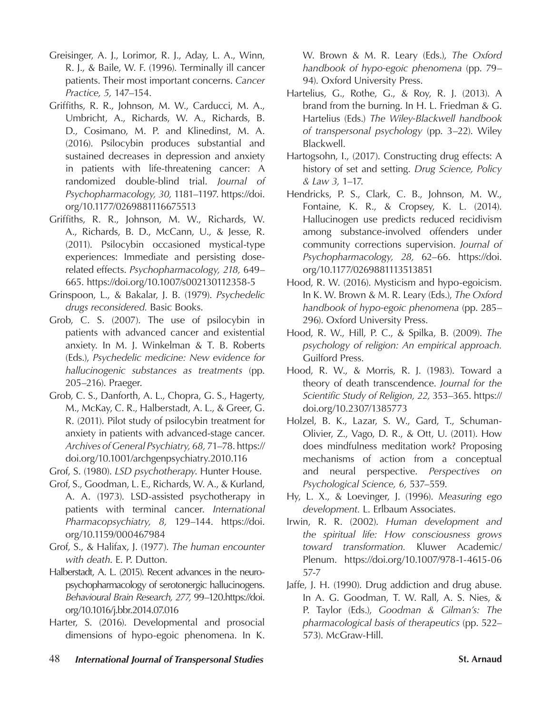- Greisinger, A. J., Lorimor, R. J., Aday, L. A., Winn, R. J., & Baile, W. F. (1996). Terminally ill cancer patients. Their most important concerns. *Cancer Practice, 5,* 147–154.
- Griffiths, R. R., Johnson, M. W., Carducci, M. A., Umbricht, A., Richards, W. A., Richards, B. D., Cosimano, M. P. and Klinedinst, M. A. (2016). Psilocybin produces substantial and sustained decreases in depression and anxiety in patients with life-threatening cancer: A randomized double-blind trial. *Journal of Psychopharmacology, 30,* 1181–1197. https://doi. org/10.1177/0269881116675513
- Griffiths, R. R., Johnson, M. W., Richards, W. A., Richards, B. D., McCann, U., & Jesse, R. (2011). Psilocybin occasioned mystical-type experiences: Immediate and persisting doserelated effects. *Psychopharmacology, 218,* 649– 665. https://doi.org/10.1007/s002130112358-5
- Grinspoon, L., & Bakalar, J. B. (1979). *Psychedelic drugs reconsidered.* Basic Books.
- Grob, C. S. (2007). The use of psilocybin in patients with advanced cancer and existential anxiety. In M. J. Winkelman & T. B. Roberts (Eds.), *Psychedelic medicine: New evidence for hallucinogenic substances as treatments* (pp. 205–216). Praeger.
- Grob, C. S., Danforth, A. L., Chopra, G. S., Hagerty, M., McKay, C. R., Halberstadt, A. L., & Greer, G. R. (2011). Pilot study of psilocybin treatment for anxiety in patients with advanced-stage cancer. *Archives of General Psychiatry, 68,* 71–78. https:// doi.org/10.1001/archgenpsychiatry.2010.116
- Grof, S. (1980). *LSD psychotherapy*. Hunter House.
- Grof, S., Goodman, L. E., Richards, W. A., & Kurland, A. A. (1973). LSD-assisted psychotherapy in patients with terminal cancer. *International Pharmacopsychiatry, 8,* 129–144. https://doi. org/10.1159/000467984
- Grof, S., & Halifax, J. (1977). *The human encounter with death*. E. P. Dutton.
- Halberstadt, A. L. (2015). Recent advances in the neuropsychopharmacology of serotonergic hallucinogens. *Behavioural Brain Research, 277,* 99–120.https://doi. org/10.1016/j.bbr.2014.07.016
- Harter, S. (2016). Developmental and prosocial dimensions of hypo-egoic phenomena. In K.

W. Brown & M. R. Leary (Eds.), *The Oxford handbook of hypo-egoic phenomena* (pp. 79– 94). Oxford University Press.

- Hartelius, G., Rothe, G., & Roy, R. J. (2013). A brand from the burning. In H. L. Friedman & G. Hartelius (Eds.) *The Wiley-Blackwell handbook of transpersonal psychology* (pp. 3–22). Wiley Blackwell.
- Hartogsohn, I., (2017). Constructing drug effects: A history of set and setting. *Drug Science, Policy & Law 3,* 1–17.
- Hendricks, P. S., Clark, C. B., Johnson, M. W., Fontaine, K. R., & Cropsey, K. L. (2014). Hallucinogen use predicts reduced recidivism among substance-involved offenders under community corrections supervision. *Journal of Psychopharmacology, 28,* 62–66. https://doi. org/10.1177/0269881113513851
- Hood, R. W. (2016). Mysticism and hypo-egoicism. In K. W. Brown & M. R. Leary (Eds.), *The Oxford handbook of hypo-egoic phenomena* (pp. 285– 296). Oxford University Press.
- Hood, R. W., Hill, P. C., & Spilka, B. (2009). *The psychology of religion: An empirical approach.*  Guilford Press.
- Hood, R. W., & Morris, R. J. (1983). Toward a theory of death transcendence. *Journal for the Scientific Study of Religion, 22,* 353–365. https:// doi.org/10.2307/1385773
- Holzel, B. K., Lazar, S. W., Gard, T., Schuman-Olivier, Z., Vago, D. R., & Ott, U. (2011). How does mindfulness meditation work? Proposing mechanisms of action from a conceptual and neural perspective. *Perspectives on Psychological Science, 6,* 537–559.
- Hy, L. X., & Loevinger, J. (1996). *Measuring ego development.* L. Erlbaum Associates.
- Irwin, R. R. (2002). *Human development and the spiritual life: How consciousness grows toward transformation.* Kluwer Academic/ Plenum. https://doi.org/10.1007/978-1-4615-06 57-7
- Jaffe, J. H. (1990). Drug addiction and drug abuse. In A. G. Goodman, T. W. Rall, A. S. Nies, & P. Taylor (Eds.), *Goodman & Gilman's: The pharmacological basis of therapeutics* (pp. 522– 573). McGraw-Hill.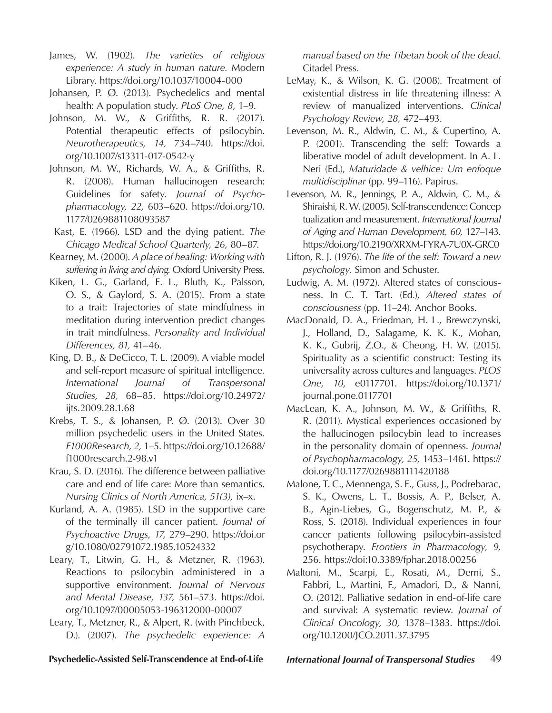- James, W. (1902). *The varieties of religious experience: A study in human nature.* Modern Library. https://doi.org/10.1037/10004-000
- Johansen, P. Ø. (2013). Psychedelics and mental health: A population study. *PLoS One, 8,* 1–9.
- Johnson, M. W., & Griffiths, R. R. (2017). Potential therapeutic effects of psilocybin. *Neurotherapeutics, 14,* 734–740. https://doi. org/10.1007/s13311-017-0542-y
- Johnson, M. W., Richards, W. A., & Griffiths, R. R. (2008). Human hallucinogen research: Guidelines for safety. *Journal of Psychopharmacology, 22,* 603–620. https://doi.org/10. 1177/0269881108093587
- Kast, E. (1966). LSD and the dying patient. *The Chicago Medical School Quarterly, 26,* 80–87.
- Kearney, M. (2000). *A place of healing: Working with suffering in living and dying.* Oxford University Press.
- Kiken, L. G., Garland, E. L., Bluth, K., Palsson, O. S., & Gaylord, S. A. (2015). From a state to a trait: Trajectories of state mindfulness in meditation during intervention predict changes in trait mindfulness. *Personality and Individual Differences, 81,* 41–46.
- King, D. B., & DeCicco, T. L. (2009). A viable model and self-report measure of spiritual intelligence*. International Journal of Transpersonal Studies, 28,* 68–85. https://doi.org/10.24972/ ijts.2009.28.1.68
- Krebs, T. S., & Johansen, P. Ø. (2013). Over 30 million psychedelic users in the United States. *F1000Research, 2,* 1–5. https://doi.org/10.12688/ f1000research.2-98.v1
- Krau, S. D. (2016). The difference between palliative care and end of life care: More than semantics. *Nursing Clinics of North America, 51(3),* ix–x.
- Kurland, A. A. (1985). LSD in the supportive care of the terminally ill cancer patient. *Journal of Psychoactive Drugs, 17,* 279–290. https://doi.or g/10.1080/02791072.1985.10524332
- Leary, T., Litwin, G. H., & Metzner, R. (1963). Reactions to psilocybin administered in a supportive environment. *Journal of Nervous and Mental Disease, 137,* 561–573. https://doi. org/10.1097/00005053-196312000-00007
- Leary, T., Metzner, R., & Alpert, R. (with Pinchbeck, D.). (2007). *The psychedelic experience: A*

*manual based on the Tibetan book of the dead.*  Citadel Press.

- LeMay, K., & Wilson, K. G. (2008). Treatment of existential distress in life threatening illness: A review of manualized interventions. *Clinical Psychology Review, 28,* 472–493.
- Levenson, M. R., Aldwin, C. M., & Cupertino, A. P. (2001). Transcending the self: Towards a liberative model of adult development. In A. L. Neri (Ed.), *Maturidade & velhice: Um enfoque multidisciplinar* (pp. 99–116). Papirus.
- Levenson, M. R., Jennings, P. A., Aldwin, C. M., & Shiraishi, R. W. (2005). Self-transcendence: Concep tualization and measurement. *International Journal of Aging and Human Development, 60,* 127–143. https://doi.org/10.2190/XRXM-FYRA-7U0X-GRC0
- Lifton, R. J. (1976). *The life of the self: Toward a new psychology.* Simon and Schuster.
- Ludwig, A. M. (1972). Altered states of consciousness. In C. T. Tart. (Ed*.*), *Altered states of consciousness* (pp. 11–24). Anchor Books.
- MacDonald, D. A., Friedman, H. L., Brewczynski, J., Holland, D., Salagame, K. K. K., Mohan, K. K., Gubrij, Z.O., & Cheong, H. W. (2015). Spirituality as a scientific construct: Testing its universality across cultures and languages. *PLOS One, 10,* e0117701. https://doi.org/10.1371/ journal.pone.0117701
- MacLean, K. A., Johnson, M. W., & Griffiths, R. R. (2011). Mystical experiences occasioned by the hallucinogen psilocybin lead to increases in the personality domain of openness. *Journal of Psychopharmacology, 25,* 1453–1461. https:// doi.org/10.1177/0269881111420188
- Malone, T. C., Mennenga, S. E., Guss, J., Podrebarac, S. K., Owens, L. T., Bossis, A. P., Belser, A. B., Agin-Liebes, G., Bogenschutz, M. P., & Ross, S. (2018). Individual experiences in four cancer patients following psilocybin-assisted psychotherapy. *Frontiers in Pharmacology, 9,*  256. https://doi:10.3389/fphar.2018.00256
- Maltoni, M., Scarpi, E., Rosati, M., Derni, S., Fabbri, L., Martini, F., Amadori, D., & Nanni, O. (2012). Palliative sedation in end-of-life care and survival: A systematic review. *Journal of Clinical Oncology, 30,* 1378–1383. https://doi. org/10.1200/JCO.2011.37.3795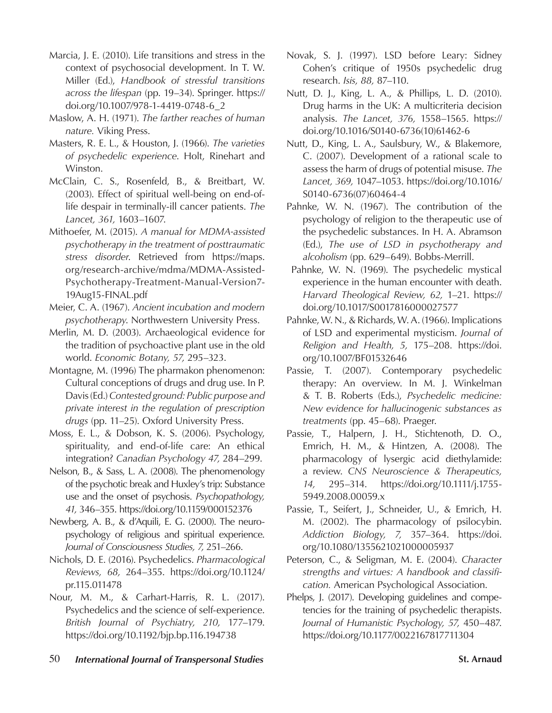- Marcia, J. E. (2010). Life transitions and stress in the context of psychosocial development. In T. W. Miller (Ed.), *Handbook of stressful transitions across the lifespan* (pp. 19–34). Springer. https:// doi.org/10.1007/978-1-4419-0748-6\_2
- Maslow, A. H. (1971). *The farther reaches of human nature.* Viking Press.
- Masters, R. E. L., & Houston, J. (1966). *The varieties of psychedelic experience*. Holt, Rinehart and Winston.
- McClain, C. S., Rosenfeld, B., & Breitbart, W. (2003). Effect of spiritual well-being on end-oflife despair in terminally-ill cancer patients. *The Lancet, 361,* 1603–1607.
- Mithoefer, M. (2015). *A manual for MDMA-assisted psychotherapy in the treatment of posttraumatic stress disorder*. Retrieved from https://maps. org/research-archive/mdma/MDMA-Assisted-Psychotherapy-Treatment-Manual-Version7- 19Aug15-FINAL.pdf
- Meier, C. A. (1967). *Ancient incubation and modern psychotherapy*. Northwestern University Press.
- Merlin, M. D. (2003). Archaeological evidence for the tradition of psychoactive plant use in the old world. *Economic Botany, 57,* 295–323.
- Montagne, M. (1996) The pharmakon phenomenon: Cultural conceptions of drugs and drug use. In P. Davis (Ed.) *Contested ground: Public purpose and private interest in the regulation of prescription drugs* (pp. 11–25). Oxford University Press.
- Moss, E. L., & Dobson, K. S. (2006). Psychology, spirituality, and end-of-life care: An ethical integration? *Canadian Psychology 47,* 284–299.
- Nelson, B., & Sass, L. A. (2008). The phenomenology of the psychotic break and Huxley's trip: Substance use and the onset of psychosis. *Psychopathology, 41,* 346–355. https://doi.org/10.1159/000152376
- Newberg, A. B., & d'Aquili, E. G. (2000). The neuropsychology of religious and spiritual experience. *Journal of Consciousness Studies, 7,* 251–266.
- Nichols, D. E. (2016). Psychedelics. *Pharmacological Reviews, 68,* 264–355. https://doi.org/10.1124/ pr.115.011478
- Nour, M. M., & Carhart-Harris, R. L. (2017). Psychedelics and the science of self-experience. *British Journal of Psychiatry, 210,* 177–179. https://doi.org/10.1192/bjp.bp.116.194738
- Novak, S. J. (1997). LSD before Leary: Sidney Cohen's critique of 1950s psychedelic drug research. *Isis, 88,* 87–110.
- Nutt, D. J., King, L. A., & Phillips, L. D. (2010). Drug harms in the UK: A multicriteria decision analysis. *The Lancet, 376,* 1558–1565. https:// doi.org/10.1016/S0140-6736(10)61462-6
- Nutt, D., King, L. A., Saulsbury, W., & Blakemore, C. (2007). Development of a rational scale to assess the harm of drugs of potential misuse. *The Lancet, 369,* 1047–1053. https://doi.org/10.1016/ S0140-6736(07)60464-4
- Pahnke, W. N. (1967). The contribution of the psychology of religion to the therapeutic use of the psychedelic substances. In H. A. Abramson (Ed.), *The use of LSD in psychotherapy and alcoholism* (pp. 629–649). Bobbs-Merrill.
- Pahnke, W. N. (1969). The psychedelic mystical experience in the human encounter with death. *Harvard Theological Review, 62,* 1–21. https:// doi.org/10.1017/S0017816000027577
- Pahnke, W. N., & Richards, W. A. (1966). Implications of LSD and experimental mysticism. *Journal of Religion and Health, 5,* 175–208. https://doi. org/10.1007/BF01532646
- Passie, T. (2007). Contemporary psychedelic therapy: An overview. In M. J. Winkelman & T. B. Roberts (Eds.), *Psychedelic medicine: New evidence for hallucinogenic substances as treatments* (pp. 45–68). Praeger.
- Passie, T., Halpern, J. H., Stichtenoth, D. O., Emrich, H. M., & Hintzen, A. (2008). The pharmacology of lysergic acid diethylamide: a review. *CNS Neuroscience & Therapeutics, 14,* 295–314. https://doi.org/10.1111/j.1755- 5949.2008.00059.x
- Passie, T., Seifert, J., Schneider, U., & Emrich, H. M. (2002). The pharmacology of psilocybin. *Addiction Biology, 7,* 357–364. https://doi. org/10.1080/1355621021000005937
- Peterson, C., & Seligman, M. E. (2004). *Character strengths and virtues: A handbook and classification.* American Psychological Association.
- Phelps, J. (2017). Developing guidelines and competencies for the training of psychedelic therapists. *Journal of Humanistic Psychology, 57,* 450–487. https://doi.org/10.1177/0022167817711304
- 50 *International Journal of Transpersonal Studies* **St. Arnaud**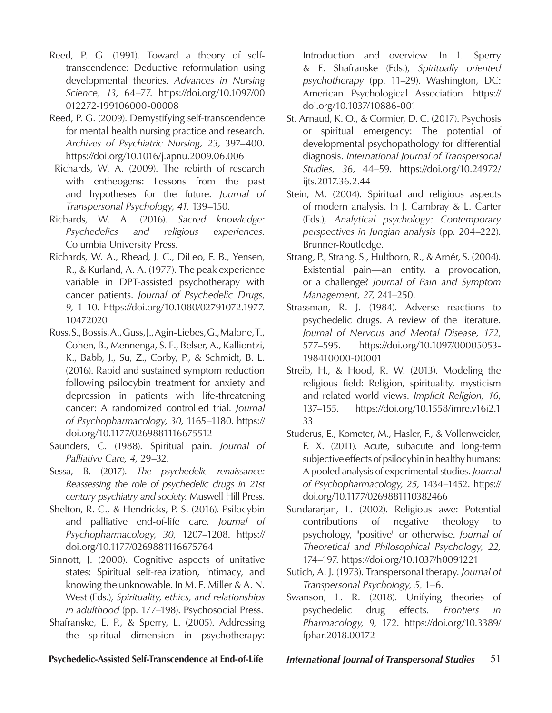- Reed, P. G. (1991). Toward a theory of selftranscendence: Deductive reformulation using developmental theories. *Advances in Nursing Science, 13*, 64–77. https://doi.org/10.1097/00 012272-199106000-00008
- Reed, P. G. (2009). Demystifying self-transcendence for mental health nursing practice and research. *Archives of Psychiatric Nursing, 23,* 397–400. https://doi.org/10.1016/j.apnu.2009.06.006
- Richards, W. A. (2009). The rebirth of research with entheogens: Lessons from the past and hypotheses for the future. *Journal of Transpersonal Psychology, 41,* 139–150.
- Richards, W. A. (2016). *Sacred knowledge: Psychedelics and religious experiences.*  Columbia University Press.
- Richards, W. A., Rhead, J. C., DiLeo, F. B., Yensen, R., & Kurland, A. A. (1977). The peak experience variable in DPT-assisted psychotherapy with cancer patients. *Journal of Psychedelic Drugs, 9,* 1–10. https://doi.org/10.1080/02791072.1977. 10472020
- Ross, S., Bossis, A., Guss, J., Agin-Liebes, G., Malone, T., Cohen, B., Mennenga, S. E., Belser, A., Kalliontzi, K., Babb, J., Su, Z., Corby, P., & Schmidt, B. L. (2016). Rapid and sustained symptom reduction following psilocybin treatment for anxiety and depression in patients with life-threatening cancer: A randomized controlled trial. *Journal of Psychopharmacology, 30,* 1165–1180. https:// doi.org/10.1177/0269881116675512
- Saunders, C. (1988). Spiritual pain. *Journal of Palliative Care, 4,* 29–32.
- Sessa, B. (2017). *The psychedelic renaissance: Reassessing the role of psychedelic drugs in 21st century psychiatry and society.* Muswell Hill Press.
- Shelton, R. C., & Hendricks, P. S. (2016). Psilocybin and palliative end-of-life care. *Journal of Psychopharmacology, 30,* 1207–1208. https:// doi.org/10.1177/0269881116675764
- Sinnott, J. (2000). Cognitive aspects of unitative states: Spiritual self-realization, intimacy, and knowing the unknowable. In M. E. Miller & A. N. West (Eds.), *Spirituality, ethics, and relationships in adulthood* (pp. 177–198). Psychosocial Press.
- Shafranske, E. P., & Sperry, L. (2005). Addressing the spiritual dimension in psychotherapy:

Introduction and overview. In L. Sperry & E. Shafranske (Eds.), *Spiritually oriented psychotherapy* (pp. 11–29). Washington, DC: American Psychological Association. https:// doi.org/10.1037/10886-001

- St. Arnaud, K. O., & Cormier, D. C. (2017). Psychosis or spiritual emergency: The potential of developmental psychopathology for differential diagnosis. *International Journal of Transpersonal Studies, 36,* 44–59. https://doi.org/10.24972/ ijts.2017.36.2.44
- Stein, M. (2004). Spiritual and religious aspects of modern analysis. In J. Cambray & L. Carter (Eds.), *Analytical psychology: Contemporary perspectives in Jungian analysis* (pp. 204–222). Brunner-Routledge.
- Strang, P., Strang, S., Hultborn, R., & Arnér, S. (2004). Existential pain—an entity, a provocation, or a challenge? *Journal of Pain and Symptom Management, 27,* 241–250.
- Strassman, R. J. (1984). Adverse reactions to psychedelic drugs. A review of the literature. *Journal of Nervous and Mental Disease, 172,* 577–595. https://doi.org/10.1097/00005053- 198410000-00001
- Streib, H., & Hood, R. W. (2013). Modeling the religious field: Religion, spirituality, mysticism and related world views. *Implicit Religion, 16*, 137–155. https://doi.org/10.1558/imre.v16i2.1 33
- Studerus, E., Kometer, M., Hasler, F., & Vollenweider, F. X. (2011). Acute, subacute and long-term subjective effects of psilocybin in healthy humans: A pooled analysis of experimental studies. *Journal of Psychopharmacology, 25,* 1434–1452. https:// doi.org/10.1177/0269881110382466
- Sundararjan, L. (2002). Religious awe: Potential contributions of negative theology to psychology, "positive" or otherwise. *Journal of Theoretical and Philosophical Psychology, 22,* 174–197. https://doi.org/10.1037/h0091221
- Sutich, A. J. (1973). Transpersonal therapy. *Journal of Transpersonal Psychology, 5,* 1–6.
- Swanson, L. R. (2018). Unifying theories of psychedelic drug effects*. Frontiers in Pharmacology, 9,* 172. https://doi.org/10.3389/ fphar.2018.00172

### **Psychedelic-Assisted Self-Transcendence at End-of-Life** *International Journal of Transpersonal Studies* 51